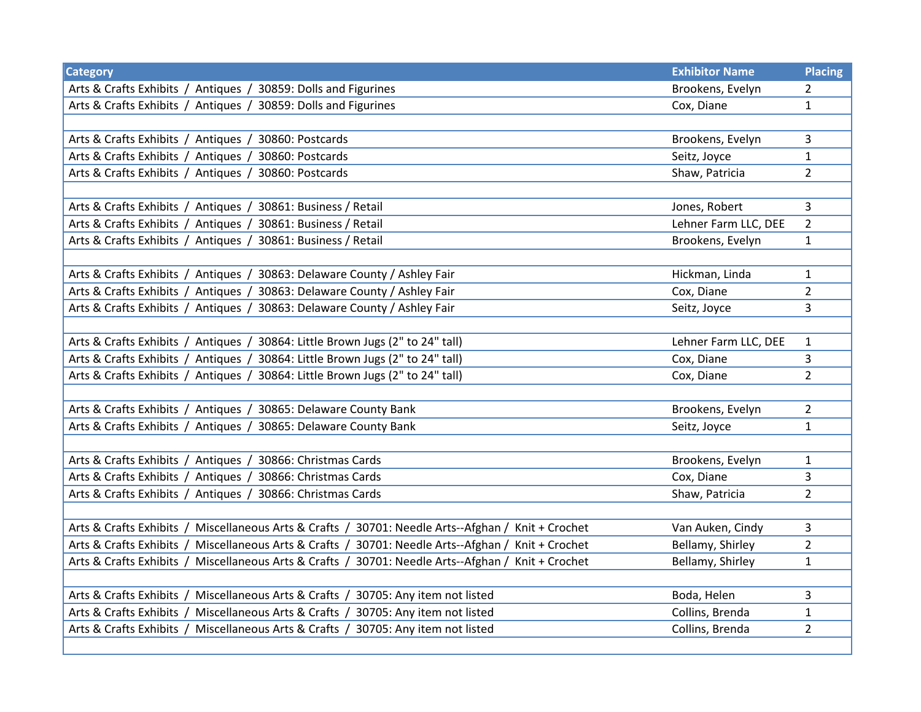| <b>Category</b>                                                                                       | <b>Exhibitor Name</b> | <b>Placing</b> |
|-------------------------------------------------------------------------------------------------------|-----------------------|----------------|
| Arts & Crafts Exhibits / Antiques /<br>30859: Dolls and Figurines                                     | Brookens, Evelyn      | $\overline{2}$ |
| 30859: Dolls and Figurines<br>Arts & Crafts Exhibits / Antiques /                                     | Cox, Diane            | $\mathbf{1}$   |
|                                                                                                       |                       |                |
| Arts & Crafts Exhibits / Antiques /<br>30860: Postcards                                               | Brookens, Evelyn      | 3              |
| Arts & Crafts Exhibits /<br>30860: Postcards<br>Antiques /                                            | Seitz, Joyce          | $\mathbf{1}$   |
| Arts & Crafts Exhibits / Antiques /<br>30860: Postcards                                               | Shaw, Patricia        | $\overline{2}$ |
|                                                                                                       |                       |                |
| Arts & Crafts Exhibits /<br>30861: Business / Retail<br>Antiques /                                    | Jones, Robert         | 3              |
| Arts & Crafts Exhibits /<br>30861: Business / Retail<br>Antiques /                                    | Lehner Farm LLC, DEE  | $\overline{2}$ |
| Arts & Crafts Exhibits / Antiques /<br>30861: Business / Retail                                       | Brookens, Evelyn      | $\mathbf{1}$   |
|                                                                                                       |                       |                |
| Arts & Crafts Exhibits / Antiques /<br>30863: Delaware County / Ashley Fair                           | Hickman, Linda        | 1              |
| Arts & Crafts Exhibits /<br>30863: Delaware County / Ashley Fair<br>Antiques /                        | Cox, Diane            | $\overline{2}$ |
| Arts & Crafts Exhibits / Antiques /<br>30863: Delaware County / Ashley Fair                           | Seitz, Joyce          | 3              |
|                                                                                                       |                       |                |
| 30864: Little Brown Jugs (2" to 24" tall)<br>Arts & Crafts Exhibits /<br>Antiques /                   | Lehner Farm LLC, DEE  | $\mathbf{1}$   |
| 30864: Little Brown Jugs (2" to 24" tall)<br>Arts & Crafts Exhibits /<br>Antiques /                   | Cox, Diane            | 3              |
| 30864: Little Brown Jugs (2" to 24" tall)<br>Arts & Crafts Exhibits / Antiques /                      | Cox, Diane            | $\overline{2}$ |
|                                                                                                       |                       |                |
| Arts & Crafts Exhibits / Antiques /<br>30865: Delaware County Bank                                    | Brookens, Evelyn      | $\overline{2}$ |
| Arts & Crafts Exhibits / Antiques /<br>30865: Delaware County Bank                                    | Seitz, Joyce          | $\mathbf{1}$   |
|                                                                                                       |                       |                |
| Arts & Crafts Exhibits / Antiques /<br>30866: Christmas Cards                                         | Brookens, Evelyn      | $\mathbf{1}$   |
| Arts & Crafts Exhibits / Antiques /<br>30866: Christmas Cards                                         | Cox, Diane            | 3              |
| Arts & Crafts Exhibits / Antiques /<br>30866: Christmas Cards                                         | Shaw, Patricia        | $\overline{2}$ |
|                                                                                                       |                       |                |
| Arts & Crafts Exhibits / Miscellaneous Arts & Crafts / 30701: Needle Arts--Afghan / Knit + Crochet    | Van Auken, Cindy      | 3              |
| Miscellaneous Arts & Crafts / 30701: Needle Arts--Afghan / Knit + Crochet<br>Arts & Crafts Exhibits / | Bellamy, Shirley      | $\overline{2}$ |
| Miscellaneous Arts & Crafts / 30701: Needle Arts--Afghan / Knit + Crochet<br>Arts & Crafts Exhibits / | Bellamy, Shirley      | $\mathbf{1}$   |
|                                                                                                       |                       |                |
| Arts & Crafts Exhibits / Miscellaneous Arts & Crafts /<br>30705: Any item not listed                  | Boda, Helen           | 3              |
| 30705: Any item not listed<br>Arts & Crafts Exhibits /<br>Miscellaneous Arts & Crafts /               | Collins, Brenda       | $\mathbf 1$    |
| 30705: Any item not listed<br>Arts & Crafts Exhibits / Miscellaneous Arts & Crafts                    | Collins, Brenda       | $\overline{2}$ |
|                                                                                                       |                       |                |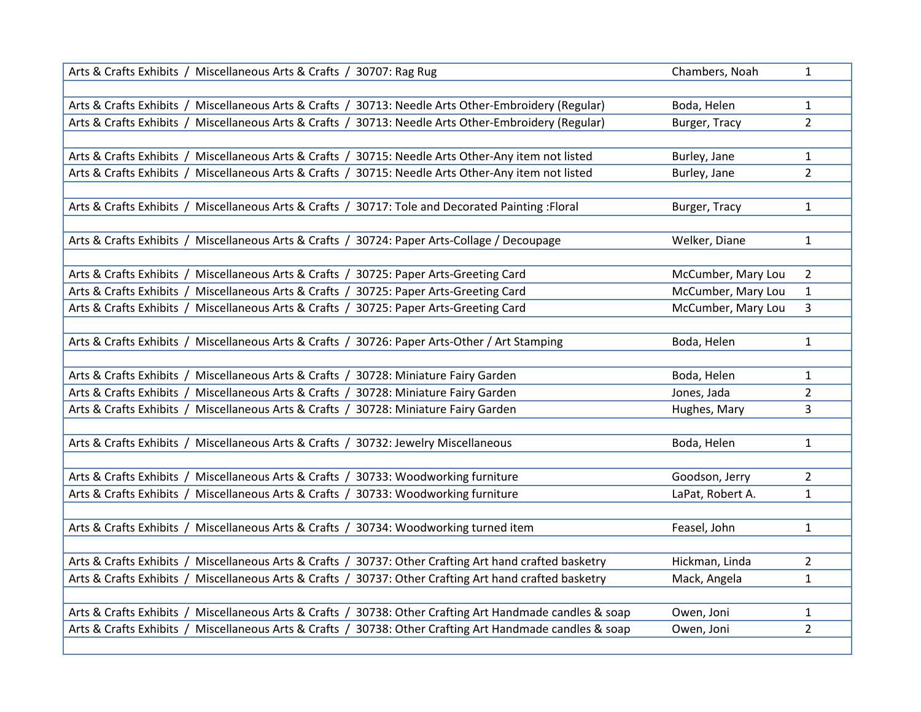| Arts & Crafts Exhibits / Miscellaneous Arts & Crafts / 30707: Rag Rug                                        | Chambers, Noah     | $\mathbf{1}$   |
|--------------------------------------------------------------------------------------------------------------|--------------------|----------------|
|                                                                                                              |                    |                |
| Arts & Crafts Exhibits / Miscellaneous Arts & Crafts / 30713: Needle Arts Other-Embroidery (Regular)         | Boda, Helen        | $\mathbf{1}$   |
| Arts & Crafts Exhibits / Miscellaneous Arts & Crafts / 30713: Needle Arts Other-Embroidery (Regular)         | Burger, Tracy      | $\overline{2}$ |
|                                                                                                              |                    |                |
| Arts & Crafts Exhibits / Miscellaneous Arts & Crafts / 30715: Needle Arts Other-Any item not listed          | Burley, Jane       | $\mathbf{1}$   |
| Miscellaneous Arts & Crafts / 30715: Needle Arts Other-Any item not listed<br>Arts & Crafts Exhibits /       | Burley, Jane       | $\overline{2}$ |
|                                                                                                              |                    |                |
| Arts & Crafts Exhibits / Miscellaneous Arts & Crafts / 30717: Tole and Decorated Painting: Floral            | Burger, Tracy      | $\mathbf{1}$   |
|                                                                                                              |                    |                |
| Arts & Crafts Exhibits / Miscellaneous Arts & Crafts / 30724: Paper Arts-Collage / Decoupage                 | Welker, Diane      | $\mathbf{1}$   |
|                                                                                                              |                    |                |
| Arts & Crafts Exhibits / Miscellaneous Arts & Crafts / 30725: Paper Arts-Greeting Card                       | McCumber, Mary Lou | $\overline{2}$ |
| Arts & Crafts Exhibits / Miscellaneous Arts & Crafts /<br>30725: Paper Arts-Greeting Card                    | McCumber, Mary Lou | $\mathbf 1$    |
| Arts & Crafts Exhibits / Miscellaneous Arts & Crafts /<br>30725: Paper Arts-Greeting Card                    | McCumber, Mary Lou | 3              |
|                                                                                                              |                    |                |
| Arts & Crafts Exhibits / Miscellaneous Arts & Crafts / 30726: Paper Arts-Other / Art Stamping                | Boda, Helen        | $\mathbf{1}$   |
|                                                                                                              |                    |                |
| Arts & Crafts Exhibits / Miscellaneous Arts & Crafts / 30728: Miniature Fairy Garden                         | Boda, Helen        | 1              |
| Miscellaneous Arts & Crafts / 30728: Miniature Fairy Garden<br>Arts & Crafts Exhibits /                      | Jones, Jada        | $\overline{2}$ |
| Arts & Crafts Exhibits / Miscellaneous Arts & Crafts / 30728: Miniature Fairy Garden                         | Hughes, Mary       | 3              |
|                                                                                                              |                    |                |
| Arts & Crafts Exhibits / Miscellaneous Arts & Crafts / 30732: Jewelry Miscellaneous                          | Boda, Helen        | $\mathbf{1}$   |
|                                                                                                              |                    |                |
| Arts & Crafts Exhibits / Miscellaneous Arts & Crafts /<br>30733: Woodworking furniture                       | Goodson, Jerry     | $\overline{2}$ |
| Arts & Crafts Exhibits / Miscellaneous Arts & Crafts /<br>30733: Woodworking furniture                       | LaPat, Robert A.   | 1              |
|                                                                                                              |                    |                |
| Arts & Crafts Exhibits / Miscellaneous Arts & Crafts / 30734: Woodworking turned item                        | Feasel, John       | $\mathbf{1}$   |
|                                                                                                              |                    |                |
| Arts & Crafts Exhibits /<br>Miscellaneous Arts & Crafts / 30737: Other Crafting Art hand crafted basketry    | Hickman, Linda     | $\overline{2}$ |
| Arts & Crafts Exhibits /<br>Miscellaneous Arts & Crafts /<br>30737: Other Crafting Art hand crafted basketry | Mack, Angela       | $\mathbf{1}$   |
|                                                                                                              |                    |                |
| Arts & Crafts Exhibits / Miscellaneous Arts & Crafts / 30738: Other Crafting Art Handmade candles & soap     | Owen, Joni         | 1              |
| Arts & Crafts Exhibits / Miscellaneous Arts & Crafts / 30738: Other Crafting Art Handmade candles & soap     | Owen, Joni         | $\overline{2}$ |
|                                                                                                              |                    |                |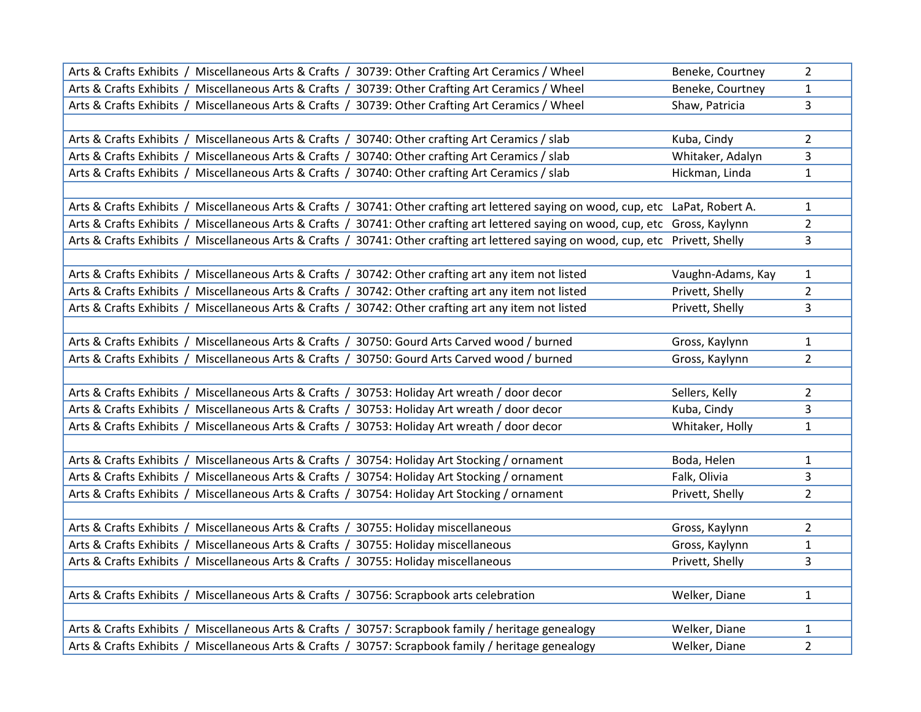| Arts & Crafts Exhibits / Miscellaneous Arts & Crafts / 30739: Other Crafting Art Ceramics / Wheel                                     | Beneke, Courtney  | $\overline{2}$ |
|---------------------------------------------------------------------------------------------------------------------------------------|-------------------|----------------|
| Arts & Crafts Exhibits / Miscellaneous Arts & Crafts / 30739: Other Crafting Art Ceramics / Wheel                                     | Beneke, Courtney  | $\mathbf{1}$   |
| Arts & Crafts Exhibits / Miscellaneous Arts & Crafts / 30739: Other Crafting Art Ceramics / Wheel                                     | Shaw, Patricia    | 3              |
|                                                                                                                                       |                   |                |
| Arts & Crafts Exhibits / Miscellaneous Arts & Crafts / 30740: Other crafting Art Ceramics / slab                                      | Kuba, Cindy       | $\overline{2}$ |
| Arts & Crafts Exhibits / Miscellaneous Arts & Crafts / 30740: Other crafting Art Ceramics / slab                                      | Whitaker, Adalyn  | 3              |
| Arts & Crafts Exhibits / Miscellaneous Arts & Crafts / 30740: Other crafting Art Ceramics / slab                                      | Hickman, Linda    | $\mathbf{1}$   |
|                                                                                                                                       |                   |                |
| Arts & Crafts Exhibits / Miscellaneous Arts & Crafts / 30741: Other crafting art lettered saying on wood, cup, etc LaPat, Robert A.   |                   | $\mathbf{1}$   |
| Arts & Crafts Exhibits /<br>Miscellaneous Arts & Crafts / 30741: Other crafting art lettered saying on wood, cup, etc Gross, Kaylynn  |                   | $\overline{2}$ |
| Miscellaneous Arts & Crafts / 30741: Other crafting art lettered saying on wood, cup, etc Privett, Shelly<br>Arts & Crafts Exhibits / |                   | 3              |
|                                                                                                                                       |                   |                |
| Arts & Crafts Exhibits / Miscellaneous Arts & Crafts / 30742: Other crafting art any item not listed                                  | Vaughn-Adams, Kay | $\mathbf{1}$   |
| Arts & Crafts Exhibits / Miscellaneous Arts & Crafts / 30742: Other crafting art any item not listed                                  | Privett, Shelly   | $\overline{2}$ |
| Arts & Crafts Exhibits / Miscellaneous Arts & Crafts / 30742: Other crafting art any item not listed                                  | Privett, Shelly   | 3              |
|                                                                                                                                       |                   |                |
| Arts & Crafts Exhibits / Miscellaneous Arts & Crafts / 30750: Gourd Arts Carved wood / burned                                         | Gross, Kaylynn    | $\mathbf{1}$   |
| Arts & Crafts Exhibits / Miscellaneous Arts & Crafts / 30750: Gourd Arts Carved wood / burned                                         | Gross, Kaylynn    | $\overline{2}$ |
|                                                                                                                                       |                   |                |
| Arts & Crafts Exhibits / Miscellaneous Arts & Crafts / 30753: Holiday Art wreath / door decor                                         | Sellers, Kelly    | $\overline{2}$ |
| Arts & Crafts Exhibits / Miscellaneous Arts & Crafts / 30753: Holiday Art wreath / door decor                                         | Kuba, Cindy       | 3              |
| Arts & Crafts Exhibits / Miscellaneous Arts & Crafts /<br>30753: Holiday Art wreath / door decor                                      | Whitaker, Holly   | $\mathbf{1}$   |
|                                                                                                                                       |                   |                |
| Arts & Crafts Exhibits / Miscellaneous Arts & Crafts / 30754: Holiday Art Stocking / ornament                                         | Boda, Helen       | $\mathbf{1}$   |
| Arts & Crafts Exhibits / Miscellaneous Arts & Crafts / 30754: Holiday Art Stocking / ornament                                         | Falk, Olivia      | 3              |
| Arts & Crafts Exhibits / Miscellaneous Arts & Crafts / 30754: Holiday Art Stocking / ornament                                         | Privett, Shelly   | $\overline{2}$ |
|                                                                                                                                       |                   |                |
| Arts & Crafts Exhibits /<br>Miscellaneous Arts & Crafts /<br>30755: Holiday miscellaneous                                             | Gross, Kaylynn    | $\overline{2}$ |
| 30755: Holiday miscellaneous<br>Arts & Crafts Exhibits / Miscellaneous Arts & Crafts /                                                | Gross, Kaylynn    | $\mathbf{1}$   |
| Arts & Crafts Exhibits / Miscellaneous Arts & Crafts /<br>30755: Holiday miscellaneous                                                | Privett, Shelly   | 3              |
|                                                                                                                                       |                   |                |
| Arts & Crafts Exhibits / Miscellaneous Arts & Crafts / 30756: Scrapbook arts celebration                                              | Welker, Diane     | $\mathbf{1}$   |
|                                                                                                                                       |                   |                |
| Arts & Crafts Exhibits / Miscellaneous Arts & Crafts / 30757: Scrapbook family / heritage genealogy                                   | Welker, Diane     | $\mathbf{1}$   |
| Arts & Crafts Exhibits / Miscellaneous Arts & Crafts / 30757: Scrapbook family / heritage genealogy                                   | Welker, Diane     | $\overline{2}$ |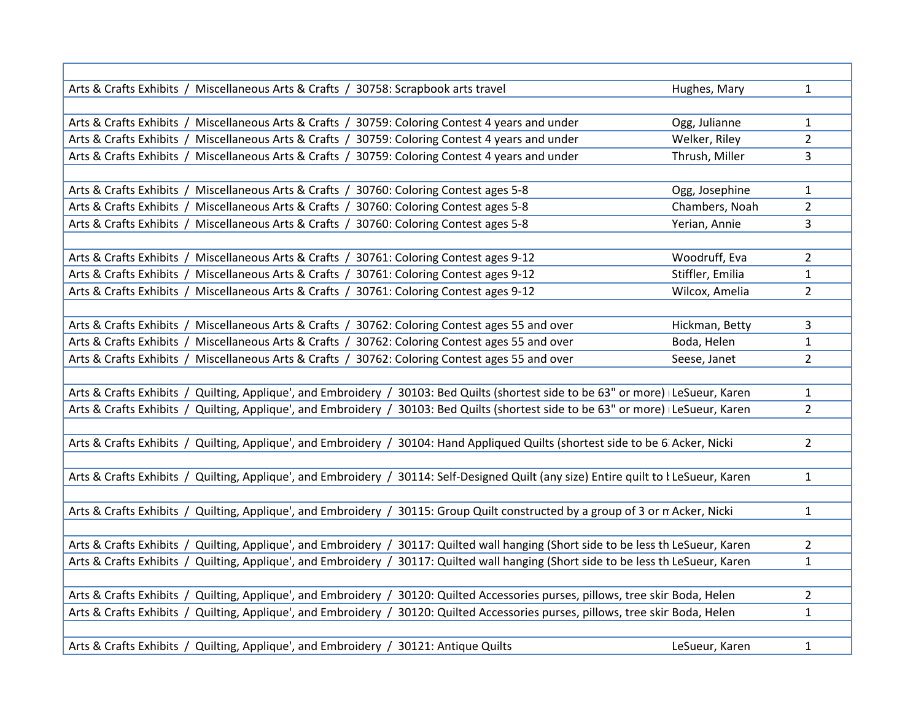| Arts & Crafts Exhibits / Miscellaneous Arts & Crafts / 30758: Scrapbook arts travel                                                    | Hughes, Mary     | $\mathbf{1}$   |
|----------------------------------------------------------------------------------------------------------------------------------------|------------------|----------------|
|                                                                                                                                        |                  |                |
| Arts & Crafts Exhibits / Miscellaneous Arts & Crafts / 30759: Coloring Contest 4 years and under                                       | Ogg, Julianne    | $\mathbf{1}$   |
| Miscellaneous Arts & Crafts / 30759: Coloring Contest 4 years and under<br>Arts & Crafts Exhibits /                                    | Welker, Riley    | $\overline{2}$ |
| Miscellaneous Arts & Crafts / 30759: Coloring Contest 4 years and under<br>Arts & Crafts Exhibits /                                    | Thrush, Miller   | 3              |
|                                                                                                                                        |                  |                |
| Arts & Crafts Exhibits / Miscellaneous Arts & Crafts / 30760: Coloring Contest ages 5-8                                                | Ogg, Josephine   | $\mathbf{1}$   |
| Arts & Crafts Exhibits / Miscellaneous Arts & Crafts / 30760: Coloring Contest ages 5-8                                                | Chambers, Noah   | $\overline{2}$ |
| Arts & Crafts Exhibits / Miscellaneous Arts & Crafts / 30760: Coloring Contest ages 5-8                                                | Yerian, Annie    | 3              |
|                                                                                                                                        |                  |                |
| Arts & Crafts Exhibits / Miscellaneous Arts & Crafts / 30761: Coloring Contest ages 9-12                                               | Woodruff, Eva    | $\overline{2}$ |
| Miscellaneous Arts & Crafts / 30761: Coloring Contest ages 9-12<br>Arts & Crafts Exhibits /                                            | Stiffler, Emilia | $\mathbf{1}$   |
| Arts & Crafts Exhibits / Miscellaneous Arts & Crafts / 30761: Coloring Contest ages 9-12                                               | Wilcox, Amelia   | $\overline{2}$ |
|                                                                                                                                        |                  |                |
| Arts & Crafts Exhibits / Miscellaneous Arts & Crafts / 30762: Coloring Contest ages 55 and over                                        | Hickman, Betty   | 3              |
| Arts & Crafts Exhibits / Miscellaneous Arts & Crafts / 30762: Coloring Contest ages 55 and over                                        | Boda, Helen      | $\mathbf 1$    |
| Arts & Crafts Exhibits / Miscellaneous Arts & Crafts / 30762: Coloring Contest ages 55 and over                                        | Seese, Janet     | $\overline{2}$ |
|                                                                                                                                        |                  |                |
| Quilting, Applique', and Embroidery / 30103: Bed Quilts (shortest side to be 63" or more) LeSueur, Karen<br>Arts & Crafts Exhibits /   |                  | $\mathbf{1}$   |
| Quilting, Applique', and Embroidery / 30103: Bed Quilts (shortest side to be 63" or more) LeSueur, Karen<br>Arts & Crafts Exhibits /   |                  | $\overline{2}$ |
|                                                                                                                                        |                  |                |
| Arts & Crafts Exhibits / Quilting, Applique', and Embroidery / 30104: Hand Appliqued Quilts (shortest side to be 6 Acker, Nicki        |                  | $\overline{2}$ |
|                                                                                                                                        |                  |                |
| Arts & Crafts Exhibits / Quilting, Applique', and Embroidery / 30114: Self-Designed Quilt (any size) Entire quilt to k LeSueur, Karen  |                  | $\mathbf{1}$   |
|                                                                                                                                        |                  |                |
| Arts & Crafts Exhibits / Quilting, Applique', and Embroidery / 30115: Group Quilt constructed by a group of 3 or m Acker, Nicki        |                  | $\mathbf{1}$   |
|                                                                                                                                        |                  |                |
| Quilting, Applique', and Embroidery / 30117: Quilted wall hanging (Short side to be less th LeSueur, Karen<br>Arts & Crafts Exhibits / |                  | $\overline{2}$ |
| Arts & Crafts Exhibits / Quilting, Applique', and Embroidery / 30117: Quilted wall hanging (Short side to be less th LeSueur, Karen    |                  | $\mathbf{1}$   |
|                                                                                                                                        |                  |                |
| Arts & Crafts Exhibits /<br>Quilting, Applique', and Embroidery / 30120: Quilted Accessories purses, pillows, tree skir Boda, Helen    |                  | $\overline{2}$ |
| Arts & Crafts Exhibits / Quilting, Applique', and Embroidery / 30120: Quilted Accessories purses, pillows, tree skir Boda, Helen       |                  | $\mathbf{1}$   |
|                                                                                                                                        |                  |                |
| Arts & Crafts Exhibits /<br>Quilting, Applique', and Embroidery / 30121: Antique Quilts                                                | LeSueur, Karen   | $\mathbf{1}$   |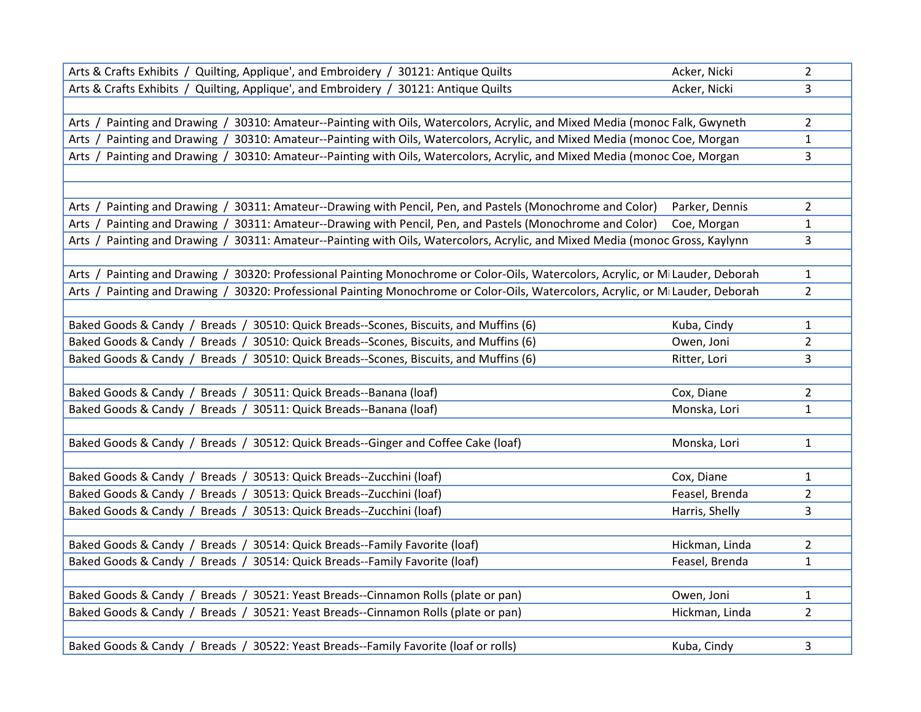| Arts & Crafts Exhibits / Quilting, Applique', and Embroidery / 30121: Antique Quilts                                             | Acker, Nicki   | $\overline{2}$ |
|----------------------------------------------------------------------------------------------------------------------------------|----------------|----------------|
| Arts & Crafts Exhibits / Quilting, Applique', and Embroidery / 30121: Antique Quilts                                             | Acker, Nicki   | 3              |
|                                                                                                                                  |                |                |
| 30310: Amateur--Painting with Oils, Watercolors, Acrylic, and Mixed Media (monoc Falk, Gwyneth<br>Arts / Painting and Drawing /  |                | $\overline{2}$ |
| 30310: Amateur--Painting with Oils, Watercolors, Acrylic, and Mixed Media (monoc Coe, Morgan<br>Arts / Painting and Drawing /    |                | $\mathbf{1}$   |
| Arts / Painting and Drawing / 30310: Amateur--Painting with Oils, Watercolors, Acrylic, and Mixed Media (monoc Coe, Morgan       |                | 3              |
|                                                                                                                                  |                |                |
|                                                                                                                                  |                |                |
| Arts / Painting and Drawing<br>30311: Amateur--Drawing with Pencil, Pen, and Pastels (Monochrome and Color)                      | Parker, Dennis | $\overline{2}$ |
| 30311: Amateur--Drawing with Pencil, Pen, and Pastels (Monochrome and Color)<br>Arts / Painting and Drawing /                    | Coe, Morgan    | $\mathbf{1}$   |
| 30311: Amateur--Painting with Oils, Watercolors, Acrylic, and Mixed Media (monoc Gross, Kaylynn<br>Arts / Painting and Drawing / |                | 3              |
|                                                                                                                                  |                |                |
| Arts / Painting and Drawing / 30320: Professional Painting Monochrome or Color-Oils, Watercolors, Acrylic, or Mi Lauder, Deborah |                | $\mathbf{1}$   |
| Arts / Painting and Drawing / 30320: Professional Painting Monochrome or Color-Oils, Watercolors, Acrylic, or Mi Lauder, Deborah |                | $\overline{2}$ |
|                                                                                                                                  |                |                |
| Breads / 30510: Quick Breads--Scones, Biscuits, and Muffins (6)<br>Baked Goods & Candy /                                         | Kuba, Cindy    | $\mathbf{1}$   |
| Baked Goods & Candy / Breads / 30510: Quick Breads--Scones, Biscuits, and Muffins (6)                                            | Owen, Joni     | $\overline{2}$ |
| Baked Goods & Candy / Breads / 30510: Quick Breads--Scones, Biscuits, and Muffins (6)                                            | Ritter, Lori   | 3              |
|                                                                                                                                  |                |                |
| Baked Goods & Candy /<br>Breads / 30511: Quick Breads--Banana (loaf)                                                             | Cox, Diane     | $\overline{2}$ |
| Baked Goods & Candy /<br>Breads / 30511: Quick Breads--Banana (loaf)                                                             | Monska, Lori   | $\mathbf{1}$   |
|                                                                                                                                  |                |                |
| Baked Goods & Candy / Breads / 30512: Quick Breads--Ginger and Coffee Cake (loaf)                                                | Monska, Lori   | $\mathbf{1}$   |
|                                                                                                                                  |                |                |
| Baked Goods & Candy /<br>30513: Quick Breads--Zucchini (loaf)<br>Breads /                                                        | Cox, Diane     | $\mathbf{1}$   |
| Baked Goods & Candy /<br>30513: Quick Breads--Zucchini (loaf)<br>Breads /                                                        | Feasel, Brenda | $\overline{2}$ |
| Baked Goods & Candy / Breads / 30513: Quick Breads--Zucchini (loaf)                                                              | Harris, Shelly | 3              |
|                                                                                                                                  |                |                |
| Breads / 30514: Quick Breads--Family Favorite (loaf)<br>Baked Goods & Candy /                                                    | Hickman, Linda | $\overline{2}$ |
| Baked Goods & Candy /<br>Breads / 30514: Quick Breads--Family Favorite (loaf)                                                    | Feasel, Brenda | $\mathbf{1}$   |
|                                                                                                                                  |                |                |
| Baked Goods & Candy / Breads / 30521: Yeast Breads--Cinnamon Rolls (plate or pan)                                                | Owen, Joni     | $\mathbf{1}$   |
| Baked Goods & Candy / Breads / 30521: Yeast Breads--Cinnamon Rolls (plate or pan)                                                | Hickman, Linda | $\overline{2}$ |
|                                                                                                                                  |                |                |
| Baked Goods & Candy / Breads / 30522: Yeast Breads--Family Favorite (loaf or rolls)                                              | Kuba, Cindy    | 3              |
|                                                                                                                                  |                |                |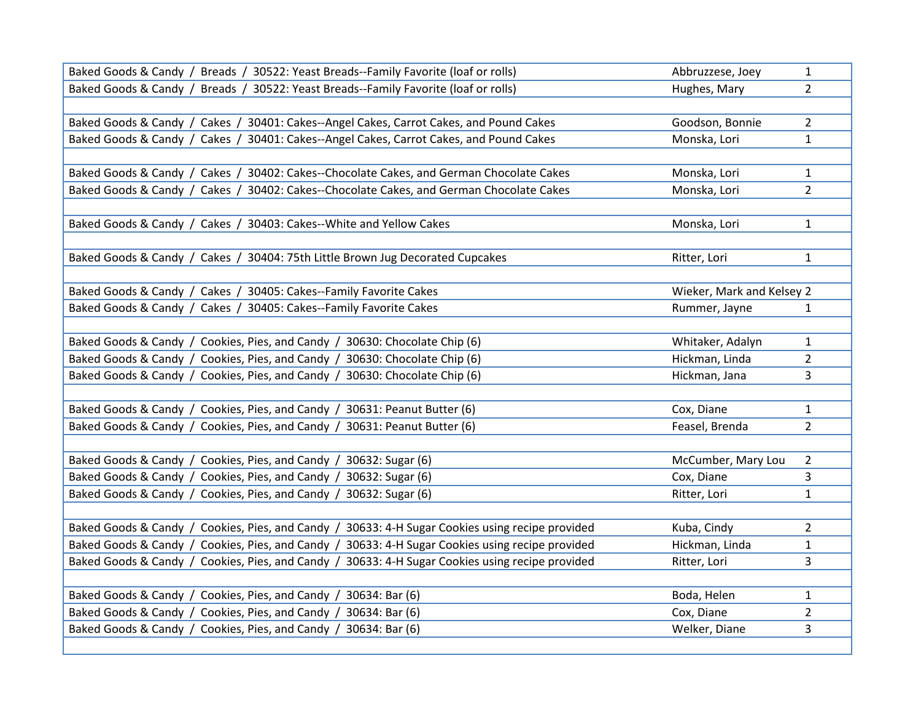| 30522: Yeast Breads--Family Favorite (loaf or rolls)<br>Baked Goods & Candy / Breads /             | Abbruzzese, Joey          | $\mathbf{1}$   |
|----------------------------------------------------------------------------------------------------|---------------------------|----------------|
| Baked Goods & Candy / Breads /<br>30522: Yeast Breads--Family Favorite (loaf or rolls)             | Hughes, Mary              | 2              |
|                                                                                                    |                           |                |
| 30401: Cakes--Angel Cakes, Carrot Cakes, and Pound Cakes<br>Baked Goods & Candy / Cakes /          | Goodson, Bonnie           | 2              |
| 30401: Cakes--Angel Cakes, Carrot Cakes, and Pound Cakes<br>Baked Goods & Candy / Cakes /          | Monska, Lori              | $\mathbf{1}$   |
|                                                                                                    |                           |                |
| Baked Goods & Candy /<br>30402: Cakes--Chocolate Cakes, and German Chocolate Cakes<br>Cakes /      | Monska, Lori              | $\mathbf{1}$   |
| Baked Goods & Candy /<br>30402: Cakes--Chocolate Cakes, and German Chocolate Cakes<br>Cakes /      | Monska, Lori              | $\overline{2}$ |
|                                                                                                    |                           |                |
| 30403: Cakes--White and Yellow Cakes<br>Baked Goods & Candy / Cakes /                              | Monska, Lori              | $\mathbf{1}$   |
|                                                                                                    |                           |                |
| Baked Goods & Candy / Cakes / 30404: 75th Little Brown Jug Decorated Cupcakes                      | Ritter, Lori              | $\mathbf{1}$   |
|                                                                                                    |                           |                |
| Baked Goods & Candy / Cakes / 30405: Cakes--Family Favorite Cakes                                  | Wieker, Mark and Kelsey 2 |                |
| Baked Goods & Candy / Cakes / 30405: Cakes--Family Favorite Cakes                                  | Rummer, Jayne             | 1              |
|                                                                                                    |                           |                |
| Baked Goods & Candy / Cookies, Pies, and Candy /<br>30630: Chocolate Chip (6)                      | Whitaker, Adalyn          | 1              |
| Baked Goods & Candy / Cookies, Pies, and Candy /<br>30630: Chocolate Chip (6)                      | Hickman, Linda            | $\overline{2}$ |
| Baked Goods & Candy / Cookies, Pies, and Candy /<br>30630: Chocolate Chip (6)                      | Hickman, Jana             | 3              |
|                                                                                                    |                           |                |
| Baked Goods & Candy / Cookies, Pies, and Candy /<br>30631: Peanut Butter (6)                       | Cox, Diane                | 1              |
| Baked Goods & Candy / Cookies, Pies, and Candy /<br>30631: Peanut Butter (6)                       | Feasel, Brenda            | 2              |
|                                                                                                    |                           |                |
| Baked Goods & Candy / Cookies, Pies, and Candy /<br>30632: Sugar (6)                               | McCumber, Mary Lou        | $\overline{2}$ |
| Baked Goods & Candy / Cookies, Pies, and Candy /<br>30632: Sugar (6)                               | Cox, Diane                | 3              |
| 30632: Sugar (6)<br>Baked Goods & Candy / Cookies, Pies, and Candy /                               | Ritter, Lori              | $\mathbf{1}$   |
|                                                                                                    |                           |                |
| Baked Goods & Candy / Cookies, Pies, and Candy / 30633: 4-H Sugar Cookies using recipe provided    | Kuba, Cindy               | $\overline{2}$ |
| Baked Goods & Candy / Cookies, Pies, and Candy / 30633: 4-H Sugar Cookies using recipe provided    | Hickman, Linda            | 1              |
| 30633: 4-H Sugar Cookies using recipe provided<br>Baked Goods & Candy / Cookies, Pies, and Candy / | Ritter, Lori              | 3              |
|                                                                                                    |                           |                |
| Baked Goods & Candy / Cookies, Pies, and Candy /<br>30634: Bar (6)                                 | Boda, Helen               | 1              |
| Baked Goods & Candy / Cookies, Pies, and Candy / 30634: Bar (6)                                    | Cox, Diane                | $\overline{2}$ |
| Baked Goods & Candy / Cookies, Pies, and Candy /<br>30634: Bar (6)                                 | Welker, Diane             | 3              |
|                                                                                                    |                           |                |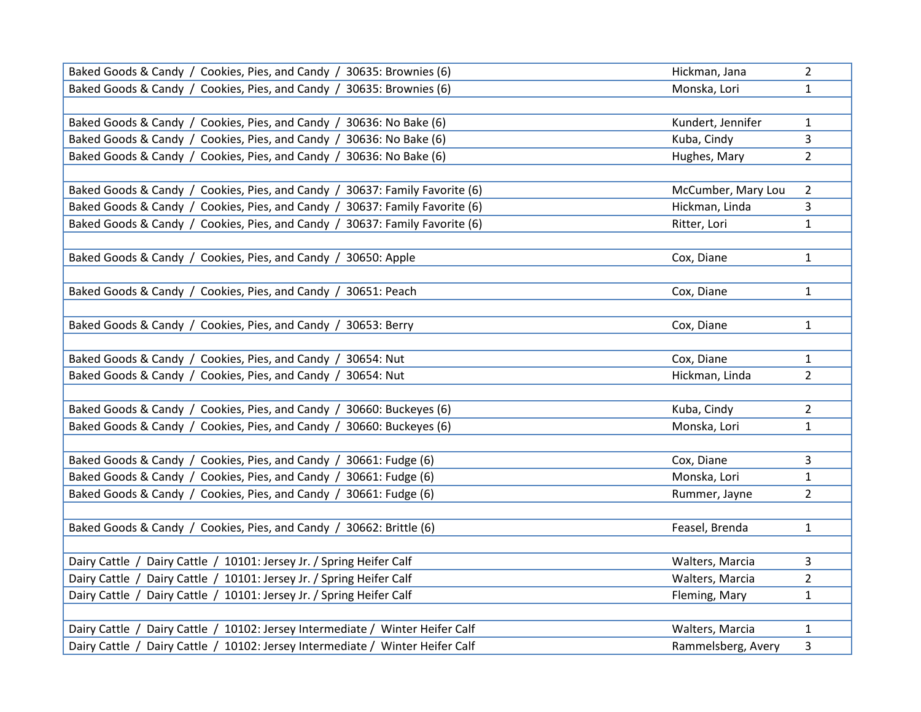| Baked Goods & Candy / Cookies, Pies, and Candy / 30635: Brownies (6)          | Hickman, Jana      | $\overline{2}$ |
|-------------------------------------------------------------------------------|--------------------|----------------|
| Baked Goods & Candy / Cookies, Pies, and Candy / 30635: Brownies (6)          | Monska, Lori       | $\mathbf{1}$   |
|                                                                               |                    |                |
| Baked Goods & Candy / Cookies, Pies, and Candy / 30636: No Bake (6)           | Kundert, Jennifer  | $\mathbf{1}$   |
| Baked Goods & Candy / Cookies, Pies, and Candy / 30636: No Bake (6)           | Kuba, Cindy        | 3              |
| Baked Goods & Candy / Cookies, Pies, and Candy / 30636: No Bake (6)           | Hughes, Mary       | $\overline{2}$ |
|                                                                               |                    |                |
| Baked Goods & Candy / Cookies, Pies, and Candy / 30637: Family Favorite (6)   | McCumber, Mary Lou | $\overline{2}$ |
| Baked Goods & Candy / Cookies, Pies, and Candy / 30637: Family Favorite (6)   | Hickman, Linda     | 3              |
| Baked Goods & Candy / Cookies, Pies, and Candy / 30637: Family Favorite (6)   | Ritter, Lori       | $\mathbf{1}$   |
|                                                                               |                    |                |
| Baked Goods & Candy / Cookies, Pies, and Candy / 30650: Apple                 | Cox, Diane         | $\mathbf{1}$   |
|                                                                               |                    |                |
| Baked Goods & Candy / Cookies, Pies, and Candy / 30651: Peach                 | Cox, Diane         | $\mathbf{1}$   |
|                                                                               |                    |                |
| Baked Goods & Candy / Cookies, Pies, and Candy / 30653: Berry                 | Cox, Diane         | $\mathbf{1}$   |
|                                                                               |                    |                |
| Baked Goods & Candy / Cookies, Pies, and Candy / 30654: Nut                   | Cox, Diane         | $\mathbf{1}$   |
| Baked Goods & Candy / Cookies, Pies, and Candy / 30654: Nut                   | Hickman, Linda     | $\overline{2}$ |
|                                                                               |                    |                |
| Baked Goods & Candy / Cookies, Pies, and Candy / 30660: Buckeyes (6)          | Kuba, Cindy        | $\overline{2}$ |
| Baked Goods & Candy / Cookies, Pies, and Candy / 30660: Buckeyes (6)          | Monska, Lori       | $\mathbf{1}$   |
|                                                                               |                    |                |
| Baked Goods & Candy / Cookies, Pies, and Candy / 30661: Fudge (6)             | Cox, Diane         | 3              |
| Baked Goods & Candy / Cookies, Pies, and Candy / 30661: Fudge (6)             | Monska, Lori       | 1              |
| Baked Goods & Candy / Cookies, Pies, and Candy / 30661: Fudge (6)             | Rummer, Jayne      | $\overline{2}$ |
|                                                                               |                    |                |
| Baked Goods & Candy / Cookies, Pies, and Candy / 30662: Brittle (6)           | Feasel, Brenda     | $\mathbf{1}$   |
| Dairy Cattle / Dairy Cattle / 10101: Jersey Jr. / Spring Heifer Calf          | Walters, Marcia    | 3              |
| Dairy Cattle / Dairy Cattle / 10101: Jersey Jr. / Spring Heifer Calf          | Walters, Marcia    | $\overline{2}$ |
| Dairy Cattle / Dairy Cattle / 10101: Jersey Jr. / Spring Heifer Calf          | Fleming, Mary      | $\mathbf{1}$   |
|                                                                               |                    |                |
| Dairy Cattle / Dairy Cattle / 10102: Jersey Intermediate / Winter Heifer Calf | Walters, Marcia    | $\mathbf{1}$   |
| Dairy Cattle / Dairy Cattle / 10102: Jersey Intermediate / Winter Heifer Calf | Rammelsberg, Avery | 3              |
|                                                                               |                    |                |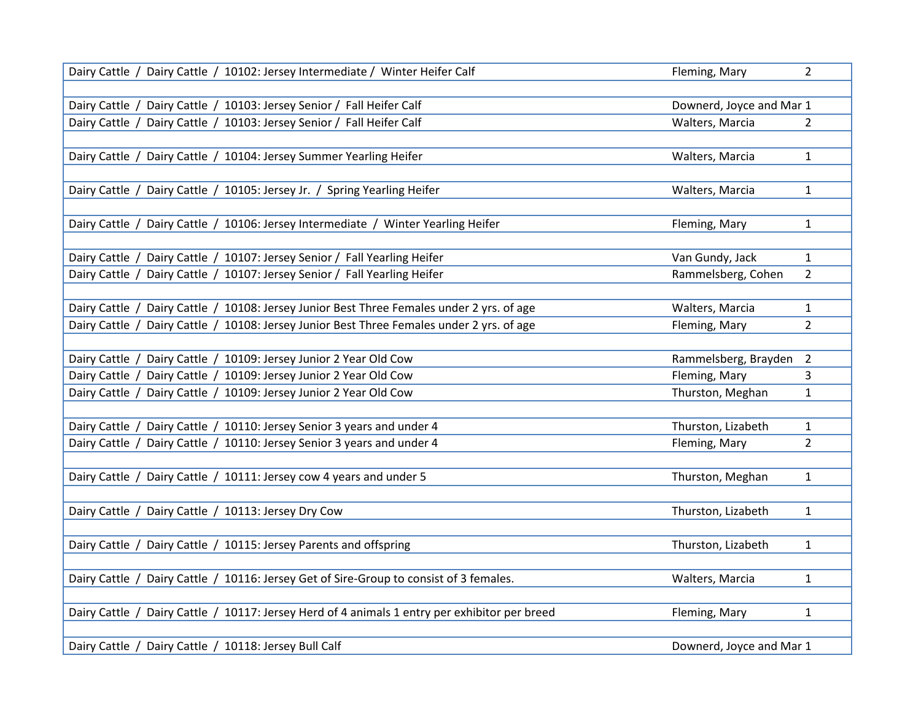| Dairy Cattle / Dairy Cattle / 10102: Jersey Intermediate / Winter Heifer Calf                 | Fleming, Mary            | $\overline{2}$ |
|-----------------------------------------------------------------------------------------------|--------------------------|----------------|
|                                                                                               |                          |                |
| Dairy Cattle / Dairy Cattle / 10103: Jersey Senior / Fall Heifer Calf                         | Downerd, Joyce and Mar 1 |                |
| 10103: Jersey Senior / Fall Heifer Calf<br>Dairy Cattle /<br>Dairy Cattle /                   | Walters, Marcia          | $\overline{2}$ |
|                                                                                               |                          |                |
| Dairy Cattle / Dairy Cattle / 10104: Jersey Summer Yearling Heifer                            | Walters, Marcia          | $\mathbf{1}$   |
|                                                                                               |                          |                |
| Dairy Cattle / Dairy Cattle / 10105: Jersey Jr. / Spring Yearling Heifer                      | Walters, Marcia          | $\mathbf{1}$   |
|                                                                                               |                          |                |
| Dairy Cattle / Dairy Cattle / 10106: Jersey Intermediate / Winter Yearling Heifer             | Fleming, Mary            | $\mathbf{1}$   |
|                                                                                               |                          |                |
| Dairy Cattle / Dairy Cattle / 10107: Jersey Senior / Fall Yearling Heifer                     | Van Gundy, Jack          | $\mathbf{1}$   |
| Dairy Cattle / Dairy Cattle / 10107: Jersey Senior / Fall Yearling Heifer                     | Rammelsberg, Cohen       | $\overline{2}$ |
|                                                                                               |                          |                |
| Dairy Cattle / Dairy Cattle / 10108: Jersey Junior Best Three Females under 2 yrs. of age     | Walters, Marcia          | $\mathbf 1$    |
| Dairy Cattle / Dairy Cattle / 10108: Jersey Junior Best Three Females under 2 yrs. of age     | Fleming, Mary            | $\overline{2}$ |
|                                                                                               |                          |                |
| Dairy Cattle / Dairy Cattle / 10109: Jersey Junior 2 Year Old Cow                             | Rammelsberg, Brayden     | $\overline{2}$ |
| Dairy Cattle /<br>Dairy Cattle / 10109: Jersey Junior 2 Year Old Cow                          | Fleming, Mary            | 3              |
| Dairy Cattle /<br>Dairy Cattle / 10109: Jersey Junior 2 Year Old Cow                          | Thurston, Meghan         | $\mathbf{1}$   |
|                                                                                               |                          |                |
| Dairy Cattle / Dairy Cattle / 10110: Jersey Senior 3 years and under 4                        | Thurston, Lizabeth       | $\mathbf{1}$   |
| Dairy Cattle / Dairy Cattle / 10110: Jersey Senior 3 years and under 4                        | Fleming, Mary            | $\overline{2}$ |
|                                                                                               |                          |                |
| Dairy Cattle / Dairy Cattle / 10111: Jersey cow 4 years and under 5                           | Thurston, Meghan         | $\mathbf{1}$   |
|                                                                                               |                          |                |
| Dairy Cattle / Dairy Cattle / 10113: Jersey Dry Cow                                           | Thurston, Lizabeth       | $\mathbf{1}$   |
|                                                                                               |                          |                |
| Dairy Cattle / Dairy Cattle / 10115: Jersey Parents and offspring                             | Thurston, Lizabeth       | $\mathbf{1}$   |
|                                                                                               | Walters, Marcia          | $\mathbf{1}$   |
| Dairy Cattle / Dairy Cattle / 10116: Jersey Get of Sire-Group to consist of 3 females.        |                          |                |
| Dairy Cattle / Dairy Cattle / 10117: Jersey Herd of 4 animals 1 entry per exhibitor per breed | Fleming, Mary            | $\mathbf{1}$   |
|                                                                                               |                          |                |
| Dairy Cattle / Dairy Cattle / 10118: Jersey Bull Calf                                         | Downerd, Joyce and Mar 1 |                |
|                                                                                               |                          |                |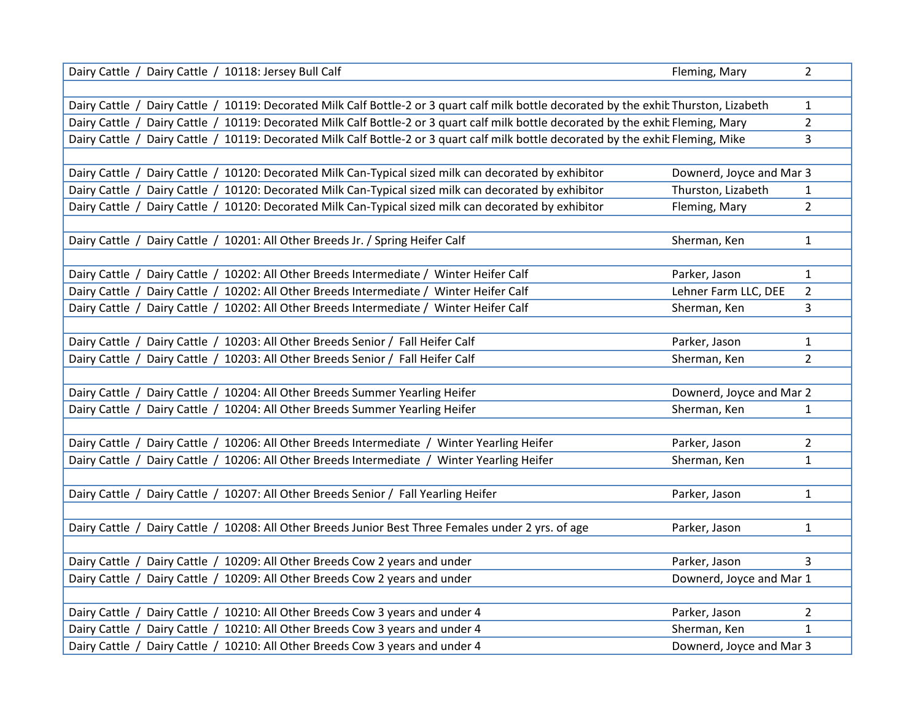| Dairy Cattle / 10118: Jersey Bull Calf<br>Dairy Cattle /                                                                                    | Fleming, Mary            | $\overline{2}$ |
|---------------------------------------------------------------------------------------------------------------------------------------------|--------------------------|----------------|
|                                                                                                                                             |                          |                |
| 10119: Decorated Milk Calf Bottle-2 or 3 quart calf milk bottle decorated by the exhib Thurston, Lizabeth<br>Dairy Cattle /<br>Dairy Cattle |                          | $\mathbf{1}$   |
| 10119: Decorated Milk Calf Bottle-2 or 3 quart calf milk bottle decorated by the exhib Fleming, Mary<br>Dairy Cattle<br>Dairy Cattle /      |                          | $\overline{2}$ |
| Dairy Cattle /<br>Dairy Cattle /<br>10119: Decorated Milk Calf Bottle-2 or 3 quart calf milk bottle decorated by the exhib Fleming, Mike    |                          | 3              |
|                                                                                                                                             |                          |                |
| 10120: Decorated Milk Can-Typical sized milk can decorated by exhibitor<br>Dairy Cattle /<br>Dairy Cattle /                                 | Downerd, Joyce and Mar 3 |                |
| 10120: Decorated Milk Can-Typical sized milk can decorated by exhibitor<br>Dairy Cattle<br>Dairy Cattle                                     | Thurston, Lizabeth       | $\mathbf{1}$   |
| 10120: Decorated Milk Can-Typical sized milk can decorated by exhibitor<br>Dairy Cattle /<br>Dairy Cattle                                   | Fleming, Mary            | $\overline{2}$ |
|                                                                                                                                             |                          |                |
| Dairy Cattle /<br>Dairy Cattle / 10201: All Other Breeds Jr. / Spring Heifer Calf                                                           | Sherman, Ken             | $\mathbf{1}$   |
|                                                                                                                                             |                          |                |
| Dairy Cattle /<br>Dairy Cattle /<br>10202: All Other Breeds Intermediate / Winter Heifer Calf                                               | Parker, Jason            | $\mathbf{1}$   |
| 10202: All Other Breeds Intermediate / Winter Heifer Calf<br>Dairy Cattle /<br>Dairy Cattle /                                               | Lehner Farm LLC, DEE     | 2              |
| Dairy Cattle /<br>Dairy Cattle / 10202: All Other Breeds Intermediate / Winter Heifer Calf                                                  | Sherman, Ken             | 3              |
|                                                                                                                                             |                          |                |
| Dairy Cattle /<br>Dairy Cattle /<br>10203: All Other Breeds Senior / Fall Heifer Calf                                                       | Parker, Jason            | 1              |
| Dairy Cattle<br>Dairy Cattle<br>10203: All Other Breeds Senior / Fall Heifer Calf                                                           | Sherman, Ken             | $\overline{2}$ |
|                                                                                                                                             |                          |                |
| 10204: All Other Breeds Summer Yearling Heifer<br>Dairy Cattle /<br>Dairy Cattle /                                                          | Downerd, Joyce and Mar 2 |                |
| Dairy Cattle /<br>Dairy Cattle /<br>10204: All Other Breeds Summer Yearling Heifer                                                          | Sherman, Ken             | $\mathbf{1}$   |
|                                                                                                                                             |                          |                |
| Dairy Cattle<br>Dairy Cattle / 10206: All Other Breeds Intermediate / Winter Yearling Heifer                                                | Parker, Jason            | $\overline{2}$ |
| Dairy Cattle /<br>Dairy Cattle / 10206: All Other Breeds Intermediate / Winter Yearling Heifer                                              | Sherman, Ken             | $\mathbf{1}$   |
|                                                                                                                                             |                          |                |
| Dairy Cattle /<br>Dairy Cattle / 10207: All Other Breeds Senior / Fall Yearling Heifer                                                      | Parker, Jason            | $\mathbf{1}$   |
|                                                                                                                                             |                          |                |
| 10208: All Other Breeds Junior Best Three Females under 2 yrs. of age<br>Dairy Cattle<br>Dairy Cattle                                       | Parker, Jason            | $\mathbf{1}$   |
|                                                                                                                                             |                          |                |
| Dairy Cattle /<br>Dairy Cattle /<br>10209: All Other Breeds Cow 2 years and under                                                           | Parker, Jason            | 3              |
| 10209: All Other Breeds Cow 2 years and under<br>Dairy Cattle /<br>Dairy Cattle /                                                           | Downerd, Joyce and Mar 1 |                |
|                                                                                                                                             |                          |                |
| Dairy Cattle /<br>Dairy Cattle / 10210: All Other Breeds Cow 3 years and under 4                                                            | Parker, Jason            | $\overline{2}$ |
| Dairy Cattle /<br>10210: All Other Breeds Cow 3 years and under 4<br>Dairy Cattle /                                                         | Sherman, Ken             | $\mathbf{1}$   |
| Dairy Cattle /<br>Dairy Cattle / 10210: All Other Breeds Cow 3 years and under 4                                                            | Downerd, Joyce and Mar 3 |                |
|                                                                                                                                             |                          |                |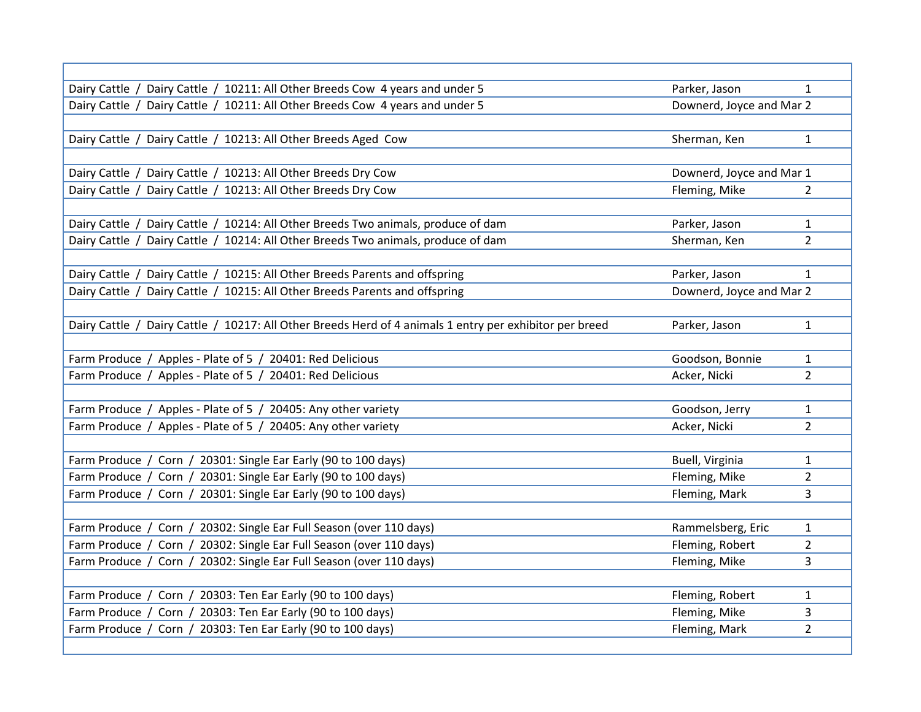| Dairy Cattle /<br>Dairy Cattle / 10211: All Other Breeds Cow 4 years and under 5                           | Parker, Jason            | $\mathbf{1}$   |
|------------------------------------------------------------------------------------------------------------|--------------------------|----------------|
| Dairy Cattle /<br>Dairy Cattle / 10211: All Other Breeds Cow 4 years and under 5                           | Downerd, Joyce and Mar 2 |                |
|                                                                                                            |                          |                |
| Dairy Cattle / 10213: All Other Breeds Aged Cow<br>Dairy Cattle /                                          | Sherman, Ken             | $\mathbf{1}$   |
|                                                                                                            |                          |                |
| Dairy Cattle /<br>Dairy Cattle / 10213: All Other Breeds Dry Cow                                           | Downerd, Joyce and Mar 1 |                |
| Dairy Cattle /<br>Dairy Cattle / 10213: All Other Breeds Dry Cow                                           | Fleming, Mike            | $\overline{2}$ |
|                                                                                                            |                          |                |
| Dairy Cattle /<br>Dairy Cattle / 10214: All Other Breeds Two animals, produce of dam                       | Parker, Jason            | 1              |
| Dairy Cattle / 10214: All Other Breeds Two animals, produce of dam<br>Dairy Cattle /                       | Sherman, Ken             | $\overline{2}$ |
|                                                                                                            |                          |                |
| Dairy Cattle / 10215: All Other Breeds Parents and offspring<br>Dairy Cattle /                             | Parker, Jason            | $\mathbf{1}$   |
| Dairy Cattle / 10215: All Other Breeds Parents and offspring<br>Dairy Cattle /                             | Downerd, Joyce and Mar 2 |                |
|                                                                                                            |                          |                |
| Dairy Cattle /<br>Dairy Cattle / 10217: All Other Breeds Herd of 4 animals 1 entry per exhibitor per breed | Parker, Jason            | $\mathbf{1}$   |
|                                                                                                            |                          |                |
| Farm Produce / Apples - Plate of 5 / 20401: Red Delicious                                                  | Goodson, Bonnie          | $\mathbf{1}$   |
| Farm Produce / Apples - Plate of 5 / 20401: Red Delicious                                                  | Acker, Nicki             | $\overline{2}$ |
|                                                                                                            |                          |                |
| Farm Produce / Apples - Plate of 5 / 20405: Any other variety                                              | Goodson, Jerry           | 1              |
| Farm Produce / Apples - Plate of 5 / 20405: Any other variety                                              | Acker, Nicki             | 2              |
|                                                                                                            |                          |                |
| 20301: Single Ear Early (90 to 100 days)<br>Farm Produce /<br>Corn $/$                                     | Buell, Virginia          | $\mathbf{1}$   |
| Farm Produce<br>20301: Single Ear Early (90 to 100 days)<br>Corn $/$                                       | Fleming, Mike            | 2              |
| Farm Produce /<br>20301: Single Ear Early (90 to 100 days)<br>Corn /                                       | Fleming, Mark            | 3              |
|                                                                                                            |                          |                |
| 20302: Single Ear Full Season (over 110 days)<br>Farm Produce /<br>Corn $/$                                | Rammelsberg, Eric        | $\mathbf{1}$   |
| 20302: Single Ear Full Season (over 110 days)<br>Farm Produce /<br>Corn $/$                                | Fleming, Robert          | 2              |
| Farm Produce / Corn / 20302: Single Ear Full Season (over 110 days)                                        | Fleming, Mike            | 3              |
|                                                                                                            |                          |                |
| 20303: Ten Ear Early (90 to 100 days)<br>Farm Produce /<br>Corn $/$                                        | Fleming, Robert          | $\mathbf{1}$   |
| Farm Produce<br>20303: Ten Ear Early (90 to 100 days)<br>Corn $/$                                          | Fleming, Mike            | 3              |
| 20303: Ten Ear Early (90 to 100 days)<br>Farm Produce /<br>Corn $/$                                        | Fleming, Mark            | $\overline{2}$ |
|                                                                                                            |                          |                |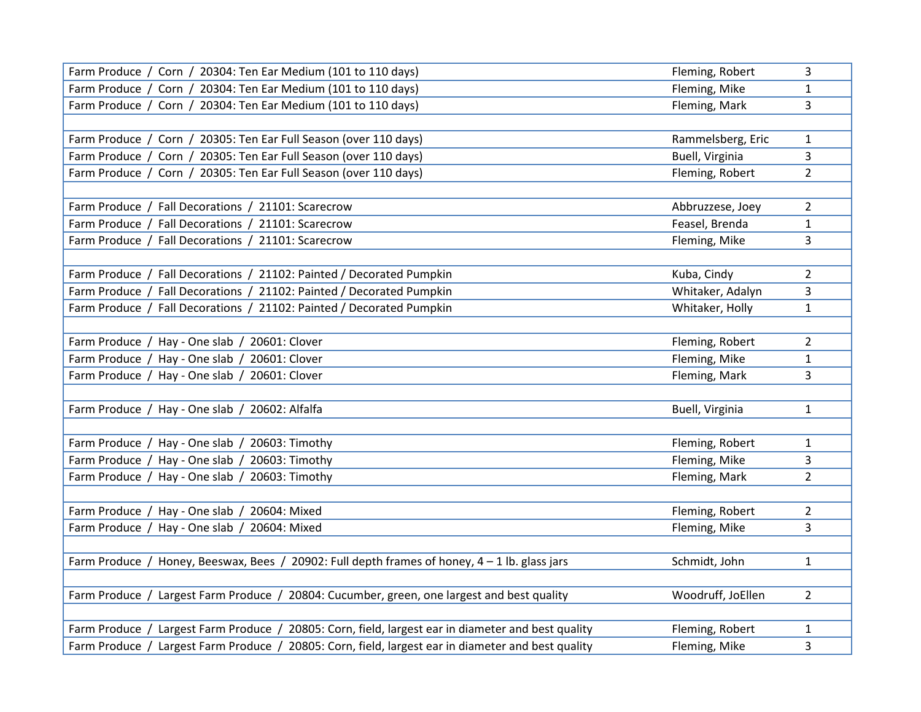| Farm Produce / Corn / 20304: Ten Ear Medium (101 to 110 days)                                      | Fleming, Robert   | 3              |
|----------------------------------------------------------------------------------------------------|-------------------|----------------|
| Farm Produce / Corn / 20304: Ten Ear Medium (101 to 110 days)                                      | Fleming, Mike     | $\mathbf{1}$   |
| Farm Produce / Corn / 20304: Ten Ear Medium (101 to 110 days)                                      | Fleming, Mark     | 3              |
|                                                                                                    |                   |                |
| Farm Produce / Corn / 20305: Ten Ear Full Season (over 110 days)                                   | Rammelsberg, Eric | $\mathbf{1}$   |
| Farm Produce / Corn / 20305: Ten Ear Full Season (over 110 days)                                   | Buell, Virginia   | 3              |
| Farm Produce / Corn / 20305: Ten Ear Full Season (over 110 days)                                   | Fleming, Robert   | $\overline{2}$ |
|                                                                                                    |                   |                |
| Farm Produce / Fall Decorations / 21101: Scarecrow                                                 | Abbruzzese, Joey  | $\overline{2}$ |
| Farm Produce / Fall Decorations /<br>21101: Scarecrow                                              | Feasel, Brenda    | $\mathbf{1}$   |
| Farm Produce / Fall Decorations / 21101: Scarecrow                                                 | Fleming, Mike     | 3              |
|                                                                                                    |                   |                |
| Farm Produce / Fall Decorations / 21102: Painted / Decorated Pumpkin                               | Kuba, Cindy       | $\overline{2}$ |
| Farm Produce / Fall Decorations / 21102: Painted / Decorated Pumpkin                               | Whitaker, Adalyn  | 3              |
| Farm Produce / Fall Decorations / 21102: Painted / Decorated Pumpkin                               | Whitaker, Holly   | $\mathbf 1$    |
|                                                                                                    |                   |                |
| Farm Produce / Hay - One slab / 20601: Clover                                                      | Fleming, Robert   | $\overline{2}$ |
| 20601: Clover<br>Farm Produce / Hay - One slab /                                                   | Fleming, Mike     | $\mathbf{1}$   |
| Farm Produce / Hay - One slab /<br>20601: Clover                                                   | Fleming, Mark     | 3              |
|                                                                                                    |                   |                |
| Farm Produce / Hay - One slab /<br>20602: Alfalfa                                                  | Buell, Virginia   | 1              |
|                                                                                                    |                   |                |
| Farm Produce / Hay - One slab / 20603: Timothy                                                     | Fleming, Robert   | $\mathbf{1}$   |
| Farm Produce / Hay - One slab /<br>20603: Timothy                                                  | Fleming, Mike     | 3              |
| Farm Produce / Hay - One slab / 20603: Timothy                                                     | Fleming, Mark     | $\overline{2}$ |
|                                                                                                    |                   |                |
| Farm Produce / Hay - One slab /<br>20604: Mixed                                                    | Fleming, Robert   | $\overline{2}$ |
| Farm Produce / Hay - One slab<br>20604: Mixed                                                      | Fleming, Mike     | 3              |
|                                                                                                    |                   |                |
| Farm Produce / Honey, Beeswax, Bees / 20902: Full depth frames of honey, 4 - 1 lb. glass jars      | Schmidt, John     | $\mathbf{1}$   |
|                                                                                                    |                   |                |
| Farm Produce / Largest Farm Produce / 20804: Cucumber, green, one largest and best quality         | Woodruff, JoEllen | $\overline{2}$ |
|                                                                                                    |                   |                |
| Farm Produce / Largest Farm Produce / 20805: Corn, field, largest ear in diameter and best quality | Fleming, Robert   | $\mathbf{1}$   |
| Farm Produce / Largest Farm Produce / 20805: Corn, field, largest ear in diameter and best quality | Fleming, Mike     | 3              |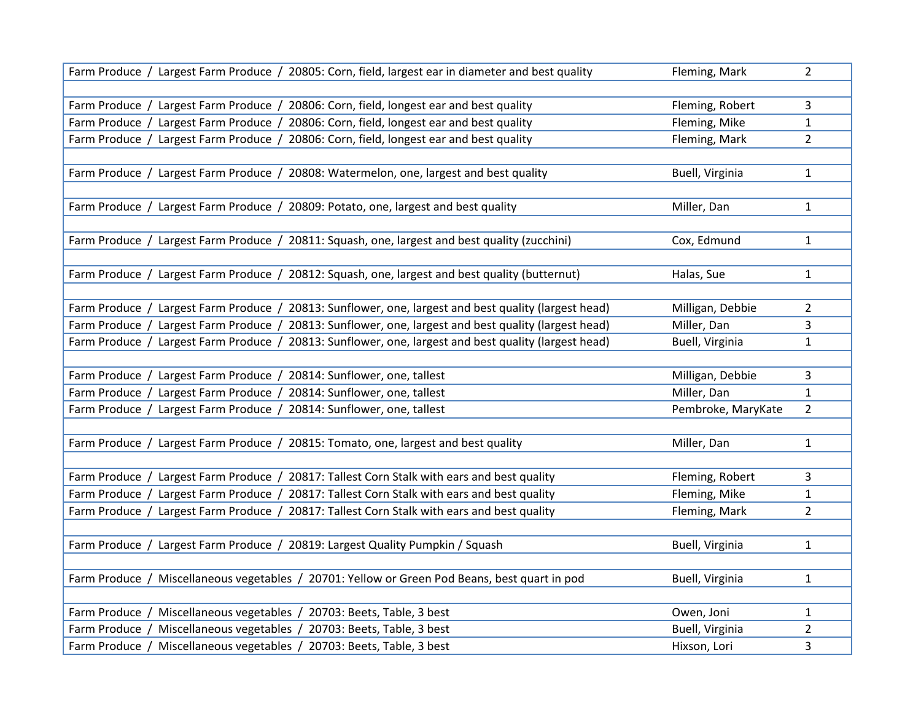| Largest Farm Produce / 20805: Corn, field, largest ear in diameter and best quality<br>Farm Produce /  | Fleming, Mark      | $\overline{2}$ |
|--------------------------------------------------------------------------------------------------------|--------------------|----------------|
|                                                                                                        |                    |                |
| 20806: Corn, field, longest ear and best quality<br>Farm Produce /<br>Largest Farm Produce             | Fleming, Robert    | 3              |
| 20806: Corn, field, longest ear and best quality<br>Largest Farm Produce<br>Farm Produce               | Fleming, Mike      | $\mathbf{1}$   |
| Largest Farm Produce /<br>20806: Corn, field, longest ear and best quality<br>Farm Produce /           | Fleming, Mark      | $\overline{2}$ |
| 20808: Watermelon, one, largest and best quality<br>Farm Produce /<br>Largest Farm Produce /           | Buell, Virginia    | $\mathbf{1}$   |
| 20809: Potato, one, largest and best quality<br>Farm Produce /<br>Largest Farm Produce                 | Miller, Dan        | $\mathbf{1}$   |
| 20811: Squash, one, largest and best quality (zucchini)<br>Farm Produce<br>Largest Farm Produce /      | Cox, Edmund        | $\mathbf{1}$   |
| 20812: Squash, one, largest and best quality (butternut)<br>Farm Produce /<br>Largest Farm Produce     | Halas, Sue         | $\mathbf{1}$   |
| Farm Produce<br>Largest Farm Produce<br>20813: Sunflower, one, largest and best quality (largest head) | Milligan, Debbie   | 2              |
| 20813: Sunflower, one, largest and best quality (largest head)<br>Farm Produce<br>Largest Farm Produce | Miller, Dan        | 3              |
| Largest Farm Produce<br>20813: Sunflower, one, largest and best quality (largest head)<br>Farm Produce | Buell, Virginia    | $\mathbf{1}$   |
| Largest Farm Produce<br>20814: Sunflower, one, tallest<br>Farm Produce                                 | Milligan, Debbie   | 3              |
| 20814: Sunflower, one, tallest<br>Farm Produce<br>Largest Farm Produce                                 | Miller, Dan        | $\mathbf{1}$   |
| Largest Farm Produce /<br>20814: Sunflower, one, tallest<br>Farm Produce /                             | Pembroke, MaryKate | $\overline{2}$ |
| Farm Produce / Largest Farm Produce /<br>20815: Tomato, one, largest and best quality                  | Miller, Dan        | $\mathbf{1}$   |
| Farm Produce<br>Largest Farm Produce<br>20817: Tallest Corn Stalk with ears and best quality           | Fleming, Robert    | 3              |
| Largest Farm Produce<br>20817: Tallest Corn Stalk with ears and best quality<br>Farm Produce           | Fleming, Mike      | 1              |
| Largest Farm Produce /<br>20817: Tallest Corn Stalk with ears and best quality<br>Farm Produce         | Fleming, Mark      | $\overline{2}$ |
| Farm Produce /<br>Largest Farm Produce<br>20819: Largest Quality Pumpkin / Squash                      | Buell, Virginia    | $\mathbf{1}$   |
| Farm Produce<br>Miscellaneous vegetables / 20701: Yellow or Green Pod Beans, best quart in pod         | Buell, Virginia    | $\mathbf{1}$   |
| Miscellaneous vegetables / 20703: Beets, Table, 3 best<br>Farm Produce /                               | Owen, Joni         | $\mathbf{1}$   |
| Miscellaneous vegetables / 20703: Beets, Table, 3 best<br>Farm Produce                                 | Buell, Virginia    | $\overline{2}$ |
| Miscellaneous vegetables / 20703: Beets, Table, 3 best<br>Farm Produce /                               | Hixson, Lori       | 3              |
|                                                                                                        |                    |                |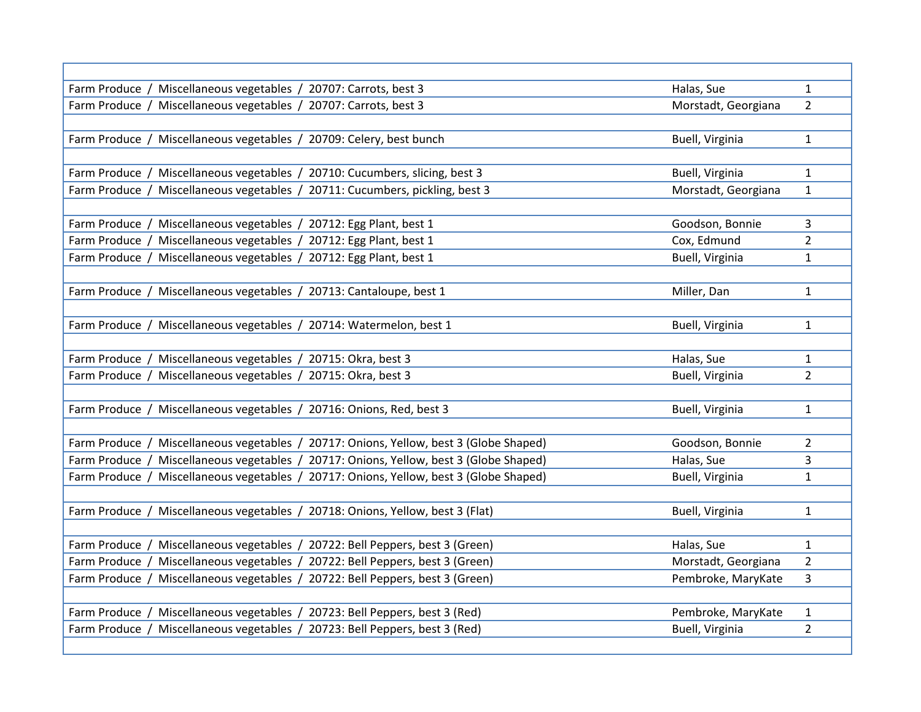| Miscellaneous vegetables /<br>Farm Produce<br>20707: Carrots, best 3                      | Halas, Sue          | $\mathbf{1}$   |
|-------------------------------------------------------------------------------------------|---------------------|----------------|
| Miscellaneous vegetables /<br>Farm Produce /<br>20707: Carrots, best 3                    | Morstadt, Georgiana | $\overline{2}$ |
| Farm Produce / Miscellaneous vegetables / 20709: Celery, best bunch                       | Buell, Virginia     | $\mathbf{1}$   |
|                                                                                           |                     |                |
| Miscellaneous vegetables / 20710: Cucumbers, slicing, best 3<br>Farm Produce /            | Buell, Virginia     | $\mathbf{1}$   |
| Miscellaneous vegetables / 20711: Cucumbers, pickling, best 3<br>Farm Produce             | Morstadt, Georgiana | $\mathbf{1}$   |
| Farm Produce<br>Miscellaneous vegetables /<br>20712: Egg Plant, best 1                    | Goodson, Bonnie     | 3              |
| Miscellaneous vegetables / 20712: Egg Plant, best 1<br>Farm Produce /                     | Cox, Edmund         | $\overline{2}$ |
| Farm Produce / Miscellaneous vegetables / 20712: Egg Plant, best 1                        | Buell, Virginia     | $\mathbf{1}$   |
| Farm Produce / Miscellaneous vegetables / 20713: Cantaloupe, best 1                       | Miller, Dan         | $\mathbf{1}$   |
| Farm Produce / Miscellaneous vegetables / 20714: Watermelon, best 1                       | Buell, Virginia     | $\mathbf{1}$   |
|                                                                                           |                     |                |
| Miscellaneous vegetables / 20715: Okra, best 3<br>Farm Produce                            | Halas, Sue          | 1              |
| Miscellaneous vegetables /<br>Farm Produce /<br>20715: Okra, best 3                       | Buell, Virginia     | $\overline{2}$ |
| Farm Produce / Miscellaneous vegetables / 20716: Onions, Red, best 3                      | Buell, Virginia     | $\mathbf{1}$   |
| Farm Produce /<br>Miscellaneous vegetables / 20717: Onions, Yellow, best 3 (Globe Shaped) | Goodson, Bonnie     | $\overline{2}$ |
| Miscellaneous vegetables / 20717: Onions, Yellow, best 3 (Globe Shaped)<br>Farm Produce   | Halas, Sue          | 3              |
| Miscellaneous vegetables / 20717: Onions, Yellow, best 3 (Globe Shaped)<br>Farm Produce / | Buell, Virginia     | $\mathbf{1}$   |
| Farm Produce /<br>Miscellaneous vegetables /<br>20718: Onions, Yellow, best 3 (Flat)      | Buell, Virginia     | $\mathbf{1}$   |
| Miscellaneous vegetables / 20722: Bell Peppers, best 3 (Green)<br>Farm Produce /          | Halas, Sue          | $\mathbf{1}$   |
| Miscellaneous vegetables / 20722: Bell Peppers, best 3 (Green)<br>Farm Produce /          | Morstadt, Georgiana | $\overline{2}$ |
| Miscellaneous vegetables / 20722: Bell Peppers, best 3 (Green)<br>Farm Produce /          | Pembroke, MaryKate  | 3              |
| Miscellaneous vegetables / 20723: Bell Peppers, best 3 (Red)<br>Farm Produce /            | Pembroke, MaryKate  | 1              |
| Miscellaneous vegetables / 20723: Bell Peppers, best 3 (Red)<br>Farm Produce /            | Buell, Virginia     | $\overline{2}$ |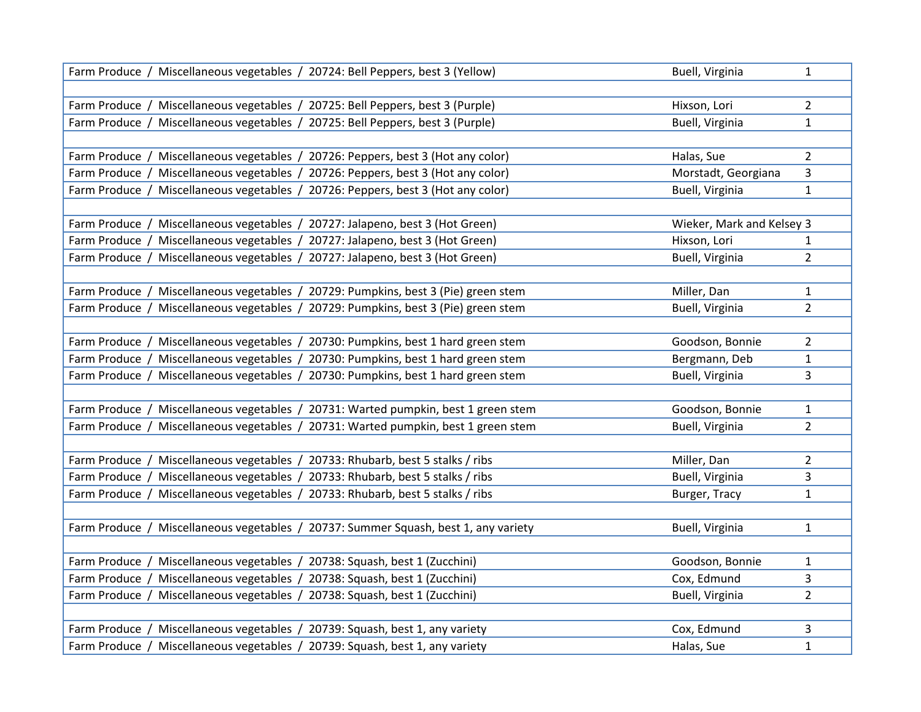| Farm Produce / Miscellaneous vegetables / 20724: Bell Peppers, best 3 (Yellow)        | Buell, Virginia           | $\mathbf{1}$   |
|---------------------------------------------------------------------------------------|---------------------------|----------------|
|                                                                                       |                           |                |
| Miscellaneous vegetables / 20725: Bell Peppers, best 3 (Purple)<br>Farm Produce       | Hixson, Lori              | $\overline{2}$ |
| Miscellaneous vegetables / 20725: Bell Peppers, best 3 (Purple)<br>Farm Produce       | Buell, Virginia           | $\mathbf{1}$   |
|                                                                                       |                           |                |
| Miscellaneous vegetables / 20726: Peppers, best 3 (Hot any color)<br>Farm Produce /   | Halas, Sue                | $\overline{2}$ |
| Farm Produce<br>Miscellaneous vegetables / 20726: Peppers, best 3 (Hot any color)     | Morstadt, Georgiana       | 3              |
| Miscellaneous vegetables / 20726: Peppers, best 3 (Hot any color)<br>Farm Produce /   | Buell, Virginia           | $\mathbf{1}$   |
|                                                                                       |                           |                |
| Farm Produce<br>Miscellaneous vegetables / 20727: Jalapeno, best 3 (Hot Green)        | Wieker, Mark and Kelsey 3 |                |
| Miscellaneous vegetables / 20727: Jalapeno, best 3 (Hot Green)<br>Farm Produce        | Hixson, Lori              | $\mathbf{1}$   |
| Farm Produce / Miscellaneous vegetables / 20727: Jalapeno, best 3 (Hot Green)         | Buell, Virginia           | $\overline{2}$ |
| Farm Produce<br>Miscellaneous vegetables / 20729: Pumpkins, best 3 (Pie) green stem   | Miller, Dan               | $\mathbf{1}$   |
|                                                                                       |                           |                |
| Miscellaneous vegetables / 20729: Pumpkins, best 3 (Pie) green stem<br>Farm Produce / | Buell, Virginia           | $\overline{2}$ |
| Miscellaneous vegetables / 20730: Pumpkins, best 1 hard green stem<br>Farm Produce /  | Goodson, Bonnie           | $\overline{2}$ |
| Miscellaneous vegetables / 20730: Pumpkins, best 1 hard green stem<br>Farm Produce    | Bergmann, Deb             | $\mathbf{1}$   |
| Miscellaneous vegetables / 20730: Pumpkins, best 1 hard green stem<br>Farm Produce /  | Buell, Virginia           | 3              |
|                                                                                       |                           |                |
| Miscellaneous vegetables / 20731: Warted pumpkin, best 1 green stem<br>Farm Produce   | Goodson, Bonnie           | $\mathbf{1}$   |
| Miscellaneous vegetables / 20731: Warted pumpkin, best 1 green stem<br>Farm Produce / | Buell, Virginia           | $\overline{2}$ |
|                                                                                       |                           |                |
| Farm Produce /<br>Miscellaneous vegetables / 20733: Rhubarb, best 5 stalks / ribs     | Miller, Dan               | $\overline{2}$ |
| Miscellaneous vegetables / 20733: Rhubarb, best 5 stalks / ribs<br>Farm Produce       | Buell, Virginia           | 3              |
| Miscellaneous vegetables / 20733: Rhubarb, best 5 stalks / ribs<br>Farm Produce /     | Burger, Tracy             | $\mathbf{1}$   |
|                                                                                       |                           |                |
| Farm Produce<br>Miscellaneous vegetables / 20737: Summer Squash, best 1, any variety  | Buell, Virginia           | $\mathbf{1}$   |
|                                                                                       |                           |                |
| Miscellaneous vegetables / 20738: Squash, best 1 (Zucchini)<br>Farm Produce /         | Goodson, Bonnie           | $\mathbf{1}$   |
| Miscellaneous vegetables / 20738: Squash, best 1 (Zucchini)<br>Farm Produce           | Cox, Edmund               | 3              |
| Miscellaneous vegetables / 20738: Squash, best 1 (Zucchini)<br>Farm Produce /         | Buell, Virginia           | $\overline{2}$ |
|                                                                                       |                           |                |
| Miscellaneous vegetables / 20739: Squash, best 1, any variety<br>Farm Produce /       | Cox, Edmund               | 3              |
| Farm Produce / Miscellaneous vegetables / 20739: Squash, best 1, any variety          | Halas, Sue                | $\mathbf{1}$   |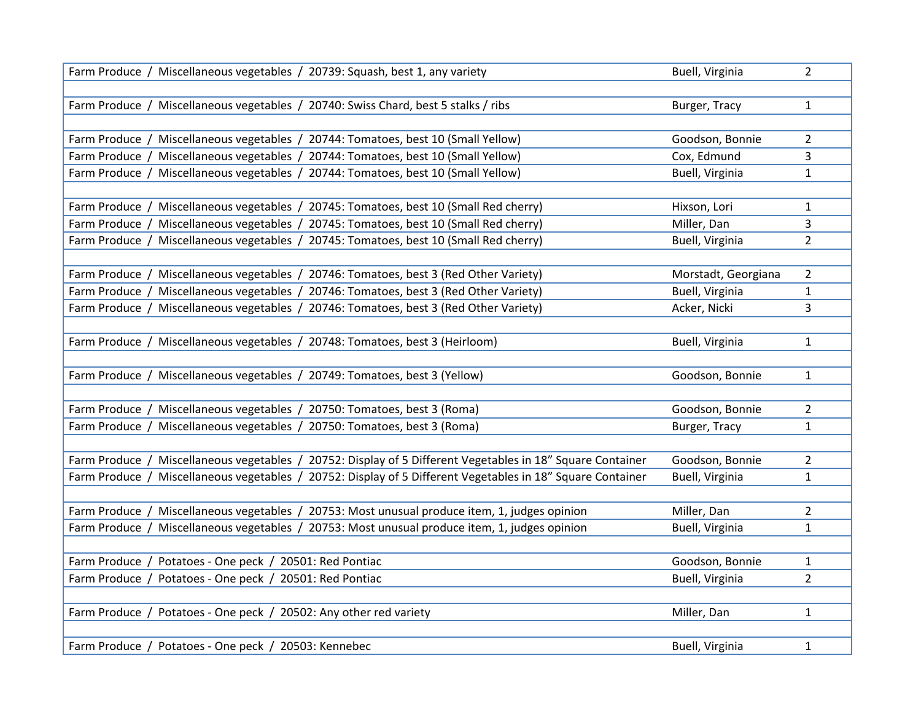| Farm Produce / Miscellaneous vegetables / 20739: Squash, best 1, any variety                                  | Buell, Virginia     | $\overline{2}$ |
|---------------------------------------------------------------------------------------------------------------|---------------------|----------------|
|                                                                                                               |                     |                |
| Miscellaneous vegetables / 20740: Swiss Chard, best 5 stalks / ribs<br>Farm Produce /                         | Burger, Tracy       | $\mathbf{1}$   |
| Miscellaneous vegetables / 20744: Tomatoes, best 10 (Small Yellow)<br>Farm Produce /                          | Goodson, Bonnie     | $\overline{2}$ |
| Miscellaneous vegetables / 20744: Tomatoes, best 10 (Small Yellow)<br>Farm Produce                            | Cox, Edmund         | 3              |
| Farm Produce /<br>Miscellaneous vegetables / 20744: Tomatoes, best 10 (Small Yellow)                          | Buell, Virginia     | $\mathbf{1}$   |
| Miscellaneous vegetables / 20745: Tomatoes, best 10 (Small Red cherry)<br>Farm Produce                        | Hixson, Lori        | $\mathbf{1}$   |
| Miscellaneous vegetables / 20745: Tomatoes, best 10 (Small Red cherry)<br>Farm Produce /                      | Miller, Dan         | 3              |
| Farm Produce / Miscellaneous vegetables / 20745: Tomatoes, best 10 (Small Red cherry)                         | Buell, Virginia     | $\overline{2}$ |
| Farm Produce /<br>Miscellaneous vegetables / 20746: Tomatoes, best 3 (Red Other Variety)                      | Morstadt, Georgiana | $\overline{2}$ |
|                                                                                                               |                     |                |
| Miscellaneous vegetables / 20746: Tomatoes, best 3 (Red Other Variety)<br>Farm Produce                        | Buell, Virginia     | $\mathbf{1}$   |
| Miscellaneous vegetables / 20746: Tomatoes, best 3 (Red Other Variety)<br>Farm Produce /                      | Acker, Nicki        | 3              |
| Farm Produce / Miscellaneous vegetables / 20748: Tomatoes, best 3 (Heirloom)                                  | Buell, Virginia     | $\mathbf{1}$   |
| Miscellaneous vegetables / 20749: Tomatoes, best 3 (Yellow)<br>Farm Produce /                                 | Goodson, Bonnie     | $\mathbf{1}$   |
| Miscellaneous vegetables / 20750: Tomatoes, best 3 (Roma)<br>Farm Produce /                                   | Goodson, Bonnie     | $\overline{2}$ |
| Miscellaneous vegetables / 20750: Tomatoes, best 3 (Roma)<br>Farm Produce /                                   | Burger, Tracy       | $\mathbf{1}$   |
| Miscellaneous vegetables / 20752: Display of 5 Different Vegetables in 18" Square Container<br>Farm Produce / | Goodson, Bonnie     | $\overline{2}$ |
| Miscellaneous vegetables / 20752: Display of 5 Different Vegetables in 18" Square Container<br>Farm Produce / | Buell, Virginia     | $\mathbf{1}$   |
| Farm Produce<br>Miscellaneous vegetables / 20753: Most unusual produce item, 1, judges opinion                | Miller, Dan         | $\overline{2}$ |
| Farm Produce<br>Miscellaneous vegetables / 20753: Most unusual produce item, 1, judges opinion                | Buell, Virginia     | $\mathbf{1}$   |
|                                                                                                               |                     |                |
| Farm Produce /<br>Potatoes - One peck / 20501: Red Pontiac                                                    | Goodson, Bonnie     | $\mathbf{1}$   |
| Potatoes - One peck / 20501: Red Pontiac<br>Farm Produce /                                                    | Buell, Virginia     | $\overline{2}$ |
| Farm Produce / Potatoes - One peck / 20502: Any other red variety                                             | Miller, Dan         | $\mathbf{1}$   |
|                                                                                                               |                     |                |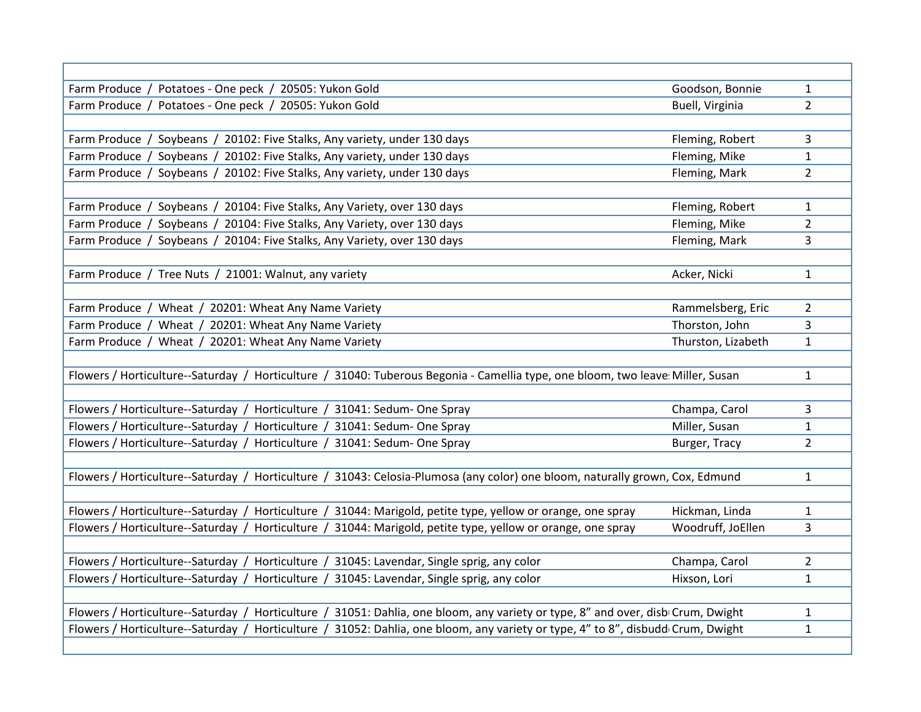| Farm Produce / Potatoes - One peck / 20505: Yukon Gold                                                                          | Goodson, Bonnie    | 1              |
|---------------------------------------------------------------------------------------------------------------------------------|--------------------|----------------|
| Farm Produce / Potatoes - One peck / 20505: Yukon Gold                                                                          | Buell, Virginia    | $\overline{2}$ |
|                                                                                                                                 |                    |                |
| Farm Produce / Soybeans / 20102: Five Stalks, Any variety, under 130 days                                                       | Fleming, Robert    | 3              |
| Farm Produce / Soybeans / 20102: Five Stalks, Any variety, under 130 days                                                       | Fleming, Mike      | $\mathbf{1}$   |
| Farm Produce / Soybeans / 20102: Five Stalks, Any variety, under 130 days                                                       | Fleming, Mark      | $\overline{2}$ |
|                                                                                                                                 |                    |                |
| Farm Produce / Soybeans / 20104: Five Stalks, Any Variety, over 130 days                                                        | Fleming, Robert    | 1              |
| Farm Produce / Soybeans / 20104: Five Stalks, Any Variety, over 130 days                                                        | Fleming, Mike      | $\overline{2}$ |
| Farm Produce / Soybeans / 20104: Five Stalks, Any Variety, over 130 days                                                        | Fleming, Mark      | 3              |
|                                                                                                                                 |                    |                |
| Farm Produce / Tree Nuts / 21001: Walnut, any variety                                                                           | Acker, Nicki       | $\mathbf{1}$   |
|                                                                                                                                 |                    |                |
| Farm Produce / Wheat / 20201: Wheat Any Name Variety                                                                            | Rammelsberg, Eric  | $\overline{2}$ |
| Farm Produce / Wheat / 20201: Wheat Any Name Variety                                                                            | Thorston, John     | 3              |
| Farm Produce / Wheat / 20201: Wheat Any Name Variety                                                                            | Thurston, Lizabeth | $\mathbf{1}$   |
|                                                                                                                                 |                    |                |
| Flowers / Horticulture--Saturday / Horticulture / 31040: Tuberous Begonia - Camellia type, one bloom, two leave Miller, Susan   |                    | $\mathbf{1}$   |
|                                                                                                                                 |                    |                |
| Flowers / Horticulture--Saturday / Horticulture / 31041: Sedum- One Spray                                                       | Champa, Carol      | 3              |
| Flowers / Horticulture--Saturday / Horticulture / 31041: Sedum- One Spray                                                       | Miller, Susan      | $\mathbf{1}$   |
| Flowers / Horticulture--Saturday / Horticulture / 31041: Sedum- One Spray                                                       | Burger, Tracy      | $\overline{2}$ |
|                                                                                                                                 |                    |                |
| Flowers / Horticulture--Saturday / Horticulture / 31043: Celosia-Plumosa (any color) one bloom, naturally grown, Cox, Edmund    |                    | $\mathbf{1}$   |
|                                                                                                                                 |                    |                |
| Flowers / Horticulture--Saturday / Horticulture / 31044: Marigold, petite type, yellow or orange, one spray                     | Hickman, Linda     | $\mathbf{1}$   |
| Flowers / Horticulture--Saturday / Horticulture / 31044: Marigold, petite type, yellow or orange, one spray                     | Woodruff, JoEllen  | 3              |
|                                                                                                                                 |                    |                |
| Flowers / Horticulture--Saturday / Horticulture / 31045: Lavendar, Single sprig, any color                                      | Champa, Carol      | $\overline{2}$ |
| Flowers / Horticulture--Saturday / Horticulture / 31045: Lavendar, Single sprig, any color                                      | Hixson, Lori       | $\mathbf{1}$   |
|                                                                                                                                 |                    |                |
| Flowers / Horticulture--Saturday / Horticulture / 31051: Dahlia, one bloom, any variety or type, 8" and over, disbiCrum, Dwight |                    | $\mathbf{1}$   |
| Flowers / Horticulture--Saturday / Horticulture / 31052: Dahlia, one bloom, any variety or type, 4" to 8", disbudd Crum, Dwight |                    | $\mathbf{1}$   |
|                                                                                                                                 |                    |                |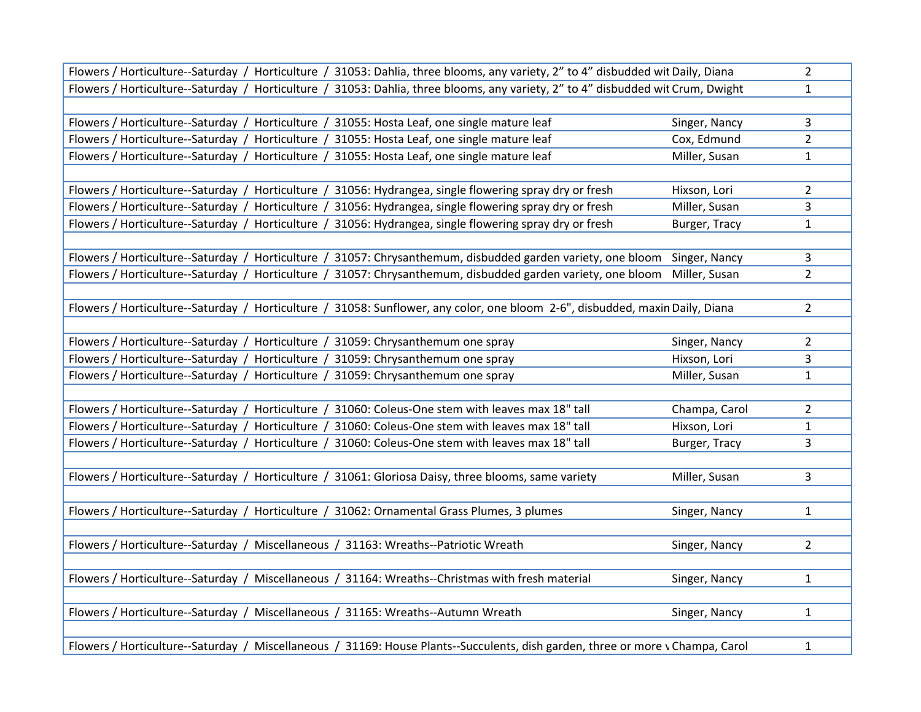| 31053: Dahlia, three blooms, any variety, 2" to 4" disbudded wit Daily, Diana<br>Flowers / Horticulture--Saturday / Horticulture / |               | $\overline{2}$ |
|------------------------------------------------------------------------------------------------------------------------------------|---------------|----------------|
| Flowers / Horticulture--Saturday / Horticulture /<br>31053: Dahlia, three blooms, any variety, 2" to 4" disbudded wit Crum, Dwight |               | $\mathbf{1}$   |
|                                                                                                                                    |               |                |
| Flowers / Horticulture--Saturday / Horticulture /<br>31055: Hosta Leaf, one single mature leaf                                     | Singer, Nancy | 3              |
| Flowers / Horticulture--Saturday / Horticulture /<br>31055: Hosta Leaf, one single mature leaf                                     | Cox, Edmund   | $\overline{2}$ |
| Flowers / Horticulture--Saturday / Horticulture<br>31055: Hosta Leaf, one single mature leaf                                       | Miller, Susan | $\mathbf{1}$   |
|                                                                                                                                    |               |                |
| Flowers / Horticulture--Saturday / Horticulture /<br>31056: Hydrangea, single flowering spray dry or fresh                         | Hixson, Lori  | $\overline{2}$ |
| Flowers / Horticulture--Saturday / Horticulture /<br>31056: Hydrangea, single flowering spray dry or fresh                         | Miller, Susan | 3              |
| Flowers / Horticulture--Saturday / Horticulture<br>31056: Hydrangea, single flowering spray dry or fresh                           | Burger, Tracy | $\mathbf{1}$   |
|                                                                                                                                    |               |                |
| Flowers / Horticulture--Saturday / Horticulture /<br>31057: Chrysanthemum, disbudded garden variety, one bloom                     | Singer, Nancy | 3              |
| Flowers / Horticulture--Saturday / Horticulture /<br>31057: Chrysanthemum, disbudded garden variety, one bloom                     | Miller, Susan | $\overline{2}$ |
|                                                                                                                                    |               |                |
| Flowers / Horticulture--Saturday / Horticulture / 31058: Sunflower, any color, one bloom 2-6", disbudded, maxin Daily, Diana       |               | $\overline{2}$ |
|                                                                                                                                    |               |                |
| Flowers / Horticulture--Saturday / Horticulture /<br>31059: Chrysanthemum one spray                                                | Singer, Nancy | $\overline{2}$ |
| Flowers / Horticulture--Saturday / Horticulture<br>31059: Chrysanthemum one spray                                                  | Hixson, Lori  | 3              |
| Flowers / Horticulture--Saturday / Horticulture<br>31059: Chrysanthemum one spray                                                  | Miller, Susan | $\mathbf{1}$   |
|                                                                                                                                    |               |                |
| Flowers / Horticulture--Saturday / Horticulture /<br>31060: Coleus-One stem with leaves max 18" tall                               | Champa, Carol | $\overline{2}$ |
| Flowers / Horticulture--Saturday / Horticulture<br>31060: Coleus-One stem with leaves max 18" tall                                 | Hixson, Lori  | $\mathbf{1}$   |
| Flowers / Horticulture--Saturday / Horticulture<br>31060: Coleus-One stem with leaves max 18" tall                                 | Burger, Tracy | 3              |
|                                                                                                                                    |               |                |
| Flowers / Horticulture--Saturday / Horticulture / 31061: Gloriosa Daisy, three blooms, same variety                                | Miller, Susan | 3              |
|                                                                                                                                    |               |                |
| Flowers / Horticulture--Saturday / Horticulture /<br>31062: Ornamental Grass Plumes, 3 plumes                                      | Singer, Nancy | $\mathbf{1}$   |
|                                                                                                                                    |               |                |
| Flowers / Horticulture--Saturday / Miscellaneous /<br>31163: Wreaths--Patriotic Wreath                                             | Singer, Nancy | $\overline{2}$ |
|                                                                                                                                    |               |                |
| Flowers / Horticulture--Saturday / Miscellaneous / 31164: Wreaths--Christmas with fresh material                                   | Singer, Nancy | $\mathbf{1}$   |
|                                                                                                                                    |               |                |
| Flowers / Horticulture--Saturday / Miscellaneous / 31165: Wreaths--Autumn Wreath                                                   | Singer, Nancy | $\mathbf{1}$   |
|                                                                                                                                    |               |                |
| Flowers / Horticulture--Saturday / Miscellaneous / 31169: House Plants--Succulents, dish garden, three or more v Champa, Carol     |               | $\mathbf{1}$   |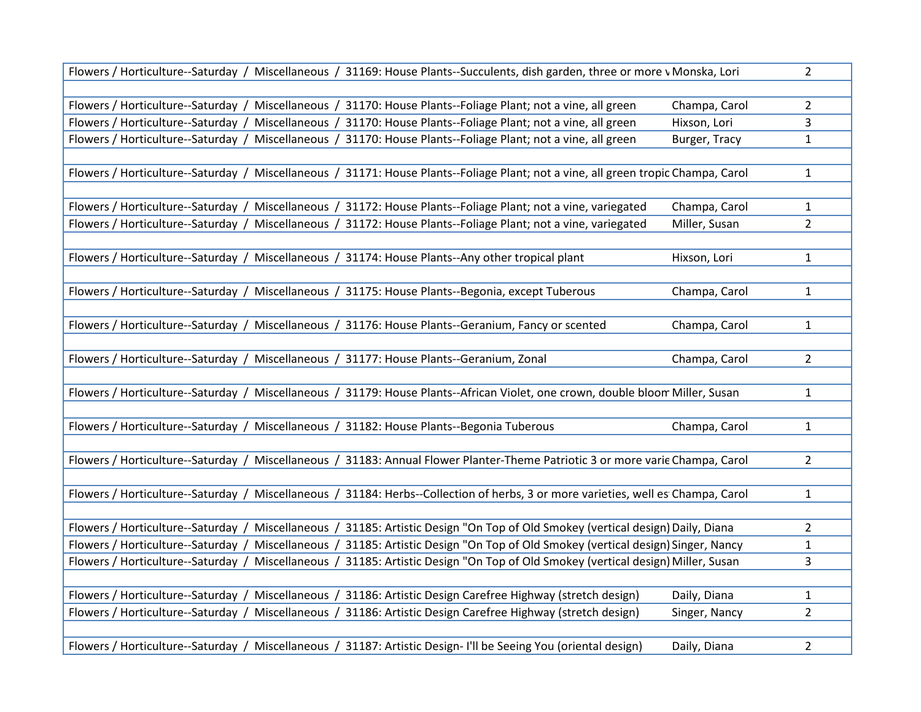| Flowers / Horticulture--Saturday / Miscellaneous / 31169: House Plants--Succulents, dish garden, three or more v Monska, Lori      | $\overline{2}$ |
|------------------------------------------------------------------------------------------------------------------------------------|----------------|
|                                                                                                                                    |                |
| Flowers / Horticulture--Saturday / Miscellaneous / 31170: House Plants--Foliage Plant; not a vine, all green<br>Champa, Carol      | $\overline{2}$ |
| Flowers / Horticulture--Saturday /<br>Miscellaneous /<br>31170: House Plants--Foliage Plant; not a vine, all green<br>Hixson, Lori | 3              |
| Flowers / Horticulture--Saturday / Miscellaneous /<br>31170: House Plants--Foliage Plant; not a vine, all green<br>Burger, Tracy   | $\mathbf{1}$   |
|                                                                                                                                    |                |
| Flowers / Horticulture--Saturday / Miscellaneous / 31171: House Plants--Foliage Plant; not a vine, all green tropic Champa, Carol  | $\mathbf{1}$   |
|                                                                                                                                    |                |
| Flowers / Horticulture--Saturday / Miscellaneous / 31172: House Plants--Foliage Plant; not a vine, variegated<br>Champa, Carol     | $\mathbf{1}$   |
| Flowers / Horticulture--Saturday / Miscellaneous / 31172: House Plants--Foliage Plant; not a vine, variegated<br>Miller, Susan     | $\overline{2}$ |
| Flowers / Horticulture--Saturday / Miscellaneous / 31174: House Plants--Any other tropical plant<br>Hixson, Lori                   | $\mathbf{1}$   |
| Flowers / Horticulture--Saturday / Miscellaneous / 31175: House Plants--Begonia, except Tuberous<br>Champa, Carol                  | $\mathbf{1}$   |
|                                                                                                                                    |                |
| Flowers / Horticulture--Saturday / Miscellaneous / 31176: House Plants--Geranium, Fancy or scented<br>Champa, Carol                | $\mathbf{1}$   |
|                                                                                                                                    |                |
| Flowers / Horticulture--Saturday / Miscellaneous / 31177: House Plants--Geranium, Zonal<br>Champa, Carol                           | $\overline{2}$ |
| Flowers / Horticulture--Saturday / Miscellaneous / 31179: House Plants--African Violet, one crown, double bloom Miller, Susan      | $\mathbf{1}$   |
|                                                                                                                                    |                |
| Flowers / Horticulture--Saturday / Miscellaneous / 31182: House Plants--Begonia Tuberous<br>Champa, Carol                          | $\mathbf{1}$   |
| Flowers / Horticulture--Saturday / Miscellaneous / 31183: Annual Flower Planter-Theme Patriotic 3 or more varie Champa, Carol      | $\overline{2}$ |
| Flowers / Horticulture--Saturday / Miscellaneous / 31184: Herbs--Collection of herbs, 3 or more varieties, well es Champa, Carol   |                |
|                                                                                                                                    | $\mathbf{1}$   |
| Flowers / Horticulture--Saturday /<br>Miscellaneous / 31185: Artistic Design "On Top of Old Smokey (vertical design) Daily, Diana  | $\overline{2}$ |
| Flowers / Horticulture--Saturday / Miscellaneous / 31185: Artistic Design "On Top of Old Smokey (vertical design) Singer, Nancy    | $\mathbf{1}$   |
| Flowers / Horticulture--Saturday / Miscellaneous / 31185: Artistic Design "On Top of Old Smokey (vertical design) Miller, Susan    | 3              |
|                                                                                                                                    |                |
| Flowers / Horticulture--Saturday / Miscellaneous / 31186: Artistic Design Carefree Highway (stretch design)<br>Daily, Diana        | $\mathbf{1}$   |
| Flowers / Horticulture--Saturday / Miscellaneous / 31186: Artistic Design Carefree Highway (stretch design)<br>Singer, Nancy       | $\overline{2}$ |
| Flowers / Horticulture--Saturday / Miscellaneous / 31187: Artistic Design- I'll be Seeing You (oriental design)<br>Daily, Diana    | $\overline{2}$ |
|                                                                                                                                    |                |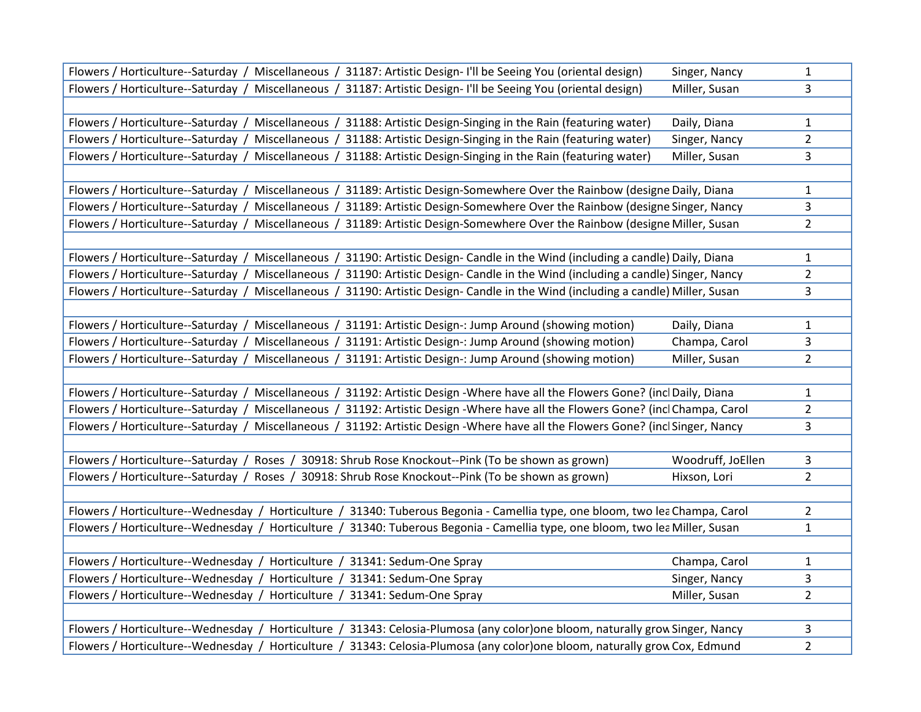| Flowers / Horticulture--Saturday / Miscellaneous / 31187: Artistic Design- I'll be Seeing You (oriental design)<br>Singer, Nancy    | $\mathbf{1}$   |
|-------------------------------------------------------------------------------------------------------------------------------------|----------------|
| Flowers / Horticulture--Saturday / Miscellaneous / 31187: Artistic Design- I'll be Seeing You (oriental design)<br>Miller, Susan    | 3              |
|                                                                                                                                     |                |
| Flowers / Horticulture--Saturday / Miscellaneous<br>31188: Artistic Design-Singing in the Rain (featuring water)<br>Daily, Diana    | $\mathbf{1}$   |
| Flowers / Horticulture--Saturday / Miscellaneous<br>31188: Artistic Design-Singing in the Rain (featuring water)<br>Singer, Nancy   | $\overline{2}$ |
| Flowers / Horticulture--Saturday / Miscellaneous<br>31188: Artistic Design-Singing in the Rain (featuring water)<br>Miller, Susan   | 3              |
|                                                                                                                                     |                |
| / 31189: Artistic Design-Somewhere Over the Rainbow (designe Daily, Diana<br>Flowers / Horticulture--Saturday / Miscellaneous       | $\mathbf{1}$   |
| Flowers / Horticulture--Saturday / Miscellaneous<br>31189: Artistic Design-Somewhere Over the Rainbow (designe Singer, Nancy        | 3              |
| Flowers / Horticulture--Saturday / Miscellaneous<br>31189: Artistic Design-Somewhere Over the Rainbow (designe Miller, Susan        | $\overline{2}$ |
|                                                                                                                                     |                |
| Flowers / Horticulture--Saturday / Miscellaneous<br>31190: Artistic Design- Candle in the Wind (including a candle) Daily, Diana    | $\mathbf{1}$   |
| Flowers / Horticulture--Saturday / Miscellaneous<br>31190: Artistic Design- Candle in the Wind (including a candle) Singer, Nancy   | $\overline{2}$ |
| Flowers / Horticulture--Saturday / Miscellaneous /<br>31190: Artistic Design- Candle in the Wind (including a candle) Miller, Susan | 3              |
|                                                                                                                                     |                |
| Flowers / Horticulture--Saturday / Miscellaneous / 31191: Artistic Design-: Jump Around (showing motion)<br>Daily, Diana            | $\mathbf{1}$   |
| Flowers / Horticulture--Saturday / Miscellaneous<br>31191: Artistic Design-: Jump Around (showing motion)<br>Champa, Carol          | 3              |
| Flowers / Horticulture--Saturday / Miscellaneous / 31191: Artistic Design-: Jump Around (showing motion)<br>Miller, Susan           | $\overline{2}$ |
|                                                                                                                                     |                |
| Flowers / Horticulture--Saturday / Miscellaneous<br>31192: Artistic Design - Where have all the Flowers Gone? (incl Daily, Diana    | $\mathbf{1}$   |
| Flowers / Horticulture--Saturday / Miscellaneous<br>31192: Artistic Design - Where have all the Flowers Gone? (incl Champa, Carol   | $\overline{2}$ |
| Flowers / Horticulture--Saturday / Miscellaneous<br>31192: Artistic Design - Where have all the Flowers Gone? (incl Singer, Nancy   | 3              |
|                                                                                                                                     |                |
| Flowers / Horticulture--Saturday / Roses / 30918: Shrub Rose Knockout--Pink (To be shown as grown)<br>Woodruff, JoEllen             | 3              |
| Flowers / Horticulture--Saturday / Roses / 30918: Shrub Rose Knockout--Pink (To be shown as grown)<br>Hixson, Lori                  | $\overline{2}$ |
|                                                                                                                                     |                |
| Flowers / Horticulture--Wednesday / Horticulture / 31340: Tuberous Begonia - Camellia type, one bloom, two lea Champa, Carol        | $\overline{2}$ |
| Flowers / Horticulture--Wednesday / Horticulture / 31340: Tuberous Begonia - Camellia type, one bloom, two lea Miller, Susan        | $\mathbf{1}$   |
|                                                                                                                                     |                |
| Flowers / Horticulture--Wednesday / Horticulture / 31341: Sedum-One Spray<br>Champa, Carol                                          | $\mathbf{1}$   |
| Flowers / Horticulture--Wednesday / Horticulture / 31341: Sedum-One Spray<br>Singer, Nancy                                          | 3              |
| Flowers / Horticulture--Wednesday / Horticulture / 31341: Sedum-One Spray<br>Miller, Susan                                          | $\overline{2}$ |
|                                                                                                                                     |                |
| Flowers / Horticulture--Wednesday / Horticulture / 31343: Celosia-Plumosa (any color)one bloom, naturally grow Singer, Nancy        | 3              |
| Flowers / Horticulture--Wednesday / Horticulture / 31343: Celosia-Plumosa (any color) one bloom, naturally grow Cox, Edmund         | $\overline{2}$ |
|                                                                                                                                     |                |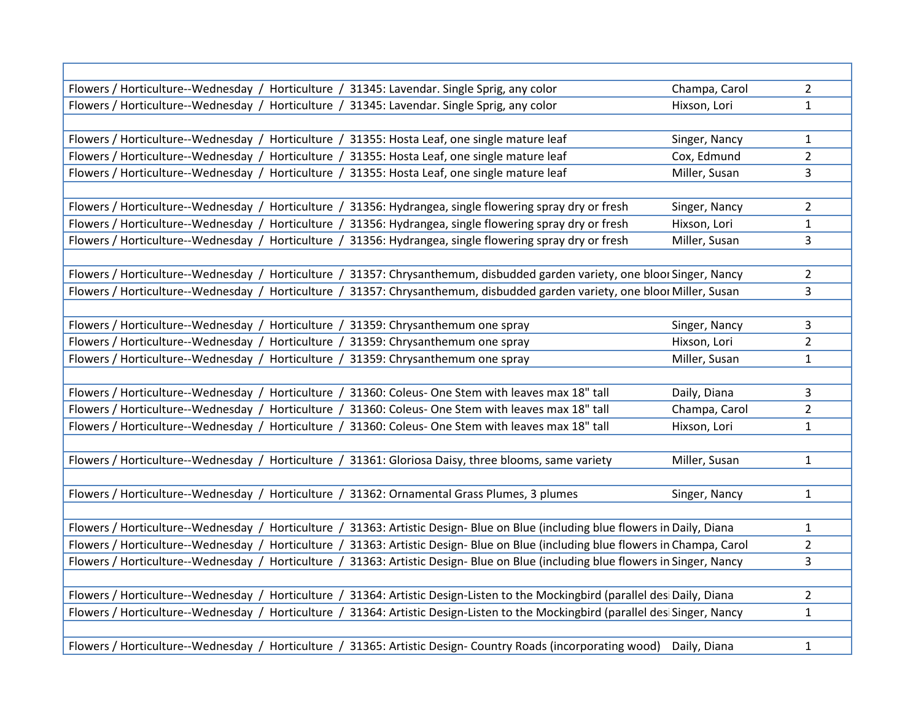| Flowers / Horticulture--Wednesday / Horticulture / 31345: Lavendar. Single Sprig, any color                                                             | Champa, Carol | $\overline{2}$ |
|---------------------------------------------------------------------------------------------------------------------------------------------------------|---------------|----------------|
| Flowers / Horticulture--Wednesday / Horticulture / 31345: Lavendar. Single Sprig, any color                                                             | Hixson, Lori  | $\mathbf{1}$   |
|                                                                                                                                                         |               |                |
| Flowers / Horticulture--Wednesday / Horticulture / 31355: Hosta Leaf, one single mature leaf                                                            | Singer, Nancy | $\mathbf{1}$   |
| Flowers / Horticulture--Wednesday / Horticulture / 31355: Hosta Leaf, one single mature leaf                                                            | Cox, Edmund   | $\overline{2}$ |
| Flowers / Horticulture--Wednesday / Horticulture / 31355: Hosta Leaf, one single mature leaf                                                            | Miller, Susan | 3              |
|                                                                                                                                                         |               |                |
| Flowers / Horticulture--Wednesday / Horticulture / 31356: Hydrangea, single flowering spray dry or fresh                                                | Singer, Nancy | $\overline{2}$ |
| Flowers / Horticulture--Wednesday / Horticulture / 31356: Hydrangea, single flowering spray dry or fresh                                                | Hixson, Lori  | $\mathbf{1}$   |
| Flowers / Horticulture--Wednesday / Horticulture / 31356: Hydrangea, single flowering spray dry or fresh                                                | Miller, Susan | 3              |
|                                                                                                                                                         |               |                |
| Flowers / Horticulture--Wednesday / Horticulture / 31357: Chrysanthemum, disbudded garden variety, one bloor Singer, Nancy                              |               | $\overline{2}$ |
| Flowers / Horticulture--Wednesday / Horticulture / 31357: Chrysanthemum, disbudded garden variety, one bloor Miller, Susan                              |               | 3              |
|                                                                                                                                                         |               |                |
| Flowers / Horticulture--Wednesday / Horticulture / 31359: Chrysanthemum one spray                                                                       | Singer, Nancy | 3              |
| Flowers / Horticulture--Wednesday / Horticulture /<br>31359: Chrysanthemum one spray                                                                    | Hixson, Lori  | $\overline{2}$ |
| Flowers / Horticulture--Wednesday / Horticulture /<br>31359: Chrysanthemum one spray                                                                    | Miller, Susan | $\mathbf{1}$   |
|                                                                                                                                                         |               |                |
| Flowers / Horticulture--Wednesday / Horticulture / 31360: Coleus- One Stem with leaves max 18" tall                                                     | Daily, Diana  | 3              |
| Flowers / Horticulture--Wednesday / Horticulture / 31360: Coleus- One Stem with leaves max 18" tall                                                     | Champa, Carol | $\overline{2}$ |
| Flowers / Horticulture--Wednesday / Horticulture / 31360: Coleus- One Stem with leaves max 18" tall                                                     | Hixson, Lori  | 1              |
|                                                                                                                                                         |               |                |
| Flowers / Horticulture--Wednesday / Horticulture / 31361: Gloriosa Daisy, three blooms, same variety                                                    | Miller, Susan | $\mathbf{1}$   |
|                                                                                                                                                         |               |                |
| Flowers / Horticulture--Wednesday / Horticulture / 31362: Ornamental Grass Plumes, 3 plumes                                                             | Singer, Nancy | $\mathbf{1}$   |
|                                                                                                                                                         |               |                |
| Flowers / Horticulture--Wednesday /<br>Horticulture /<br>31363: Artistic Design- Blue on Blue (including blue flowers in Daily, Diana<br>Horticulture / |               | $\mathbf{1}$   |
| Flowers / Horticulture--Wednesday /<br>31363: Artistic Design- Blue on Blue (including blue flowers in Champa, Carol                                    |               | 2              |
| Flowers / Horticulture--Wednesday / Horticulture /<br>31363: Artistic Design- Blue on Blue (including blue flowers in Singer, Nancy                     |               | 3              |
| Flowers / Horticulture--Wednesday / Horticulture / 31364: Artistic Design-Listen to the Mockingbird (parallel desi Daily, Diana                         |               | $\overline{2}$ |
| Flowers / Horticulture--Wednesday / Horticulture /<br>31364: Artistic Design-Listen to the Mockingbird (parallel desi Singer, Nancy                     |               | $\mathbf{1}$   |
|                                                                                                                                                         |               |                |
| Flowers / Horticulture--Wednesday / Horticulture / 31365: Artistic Design- Country Roads (incorporating wood)                                           | Daily, Diana  | $\mathbf{1}$   |
|                                                                                                                                                         |               |                |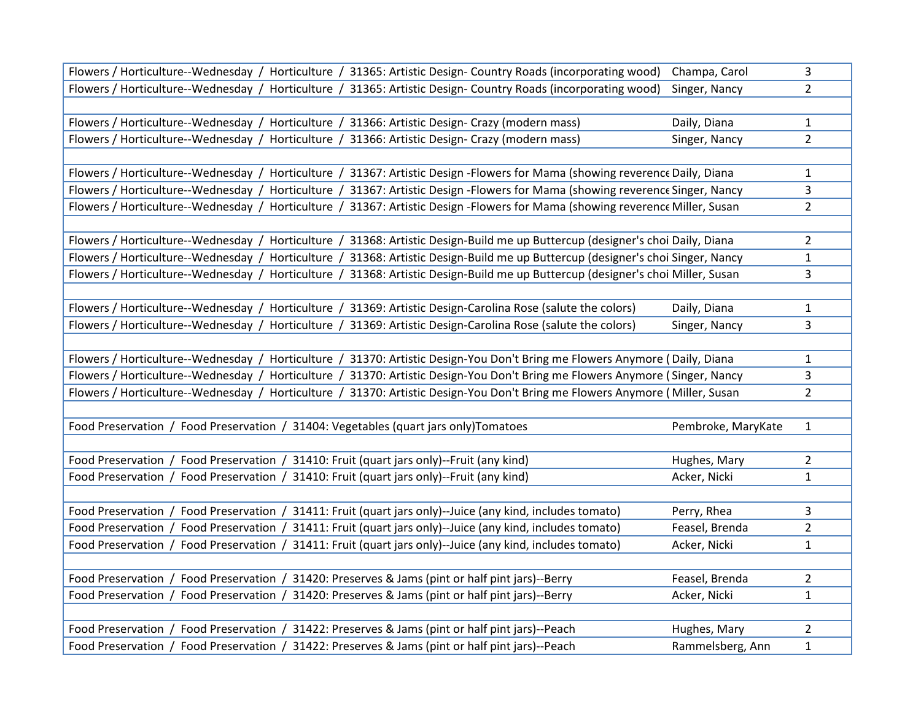| Flowers / Horticulture--Wednesday / Horticulture / 31365: Artistic Design- Country Roads (incorporating wood)<br>Champa, Carol    | 3              |
|-----------------------------------------------------------------------------------------------------------------------------------|----------------|
| Flowers / Horticulture--Wednesday / Horticulture / 31365: Artistic Design- Country Roads (incorporating wood)<br>Singer, Nancy    | $\overline{2}$ |
|                                                                                                                                   |                |
| Flowers / Horticulture--Wednesday / Horticulture / 31366: Artistic Design- Crazy (modern mass)<br>Daily, Diana                    | $\mathbf{1}$   |
| Flowers / Horticulture--Wednesday / Horticulture / 31366: Artistic Design- Crazy (modern mass)<br>Singer, Nancy                   | $\overline{2}$ |
|                                                                                                                                   |                |
| Flowers / Horticulture--Wednesday / Horticulture / 31367: Artistic Design -Flowers for Mama (showing reverence Daily, Diana       | 1              |
| Flowers / Horticulture--Wednesday / Horticulture / 31367: Artistic Design -Flowers for Mama (showing reverence Singer, Nancy      | 3              |
| Flowers / Horticulture--Wednesday / Horticulture / 31367: Artistic Design -Flowers for Mama (showing reverence Miller, Susan      | $\overline{2}$ |
|                                                                                                                                   |                |
| Flowers / Horticulture--Wednesday / Horticulture / 31368: Artistic Design-Build me up Buttercup (designer's choi Daily, Diana     | $\overline{2}$ |
| Flowers / Horticulture--Wednesday / Horticulture /<br>31368: Artistic Design-Build me up Buttercup (designer's choi Singer, Nancy | $\mathbf 1$    |
| Flowers / Horticulture--Wednesday / Horticulture / 31368: Artistic Design-Build me up Buttercup (designer's choi Miller, Susan    | 3              |
|                                                                                                                                   |                |
| Daily, Diana<br>Flowers / Horticulture--Wednesday / Horticulture / 31369: Artistic Design-Carolina Rose (salute the colors)       | $\mathbf{1}$   |
| Flowers / Horticulture--Wednesday / Horticulture / 31369: Artistic Design-Carolina Rose (salute the colors)<br>Singer, Nancy      | 3              |
|                                                                                                                                   |                |
| Flowers / Horticulture--Wednesday / Horticulture / 31370: Artistic Design-You Don't Bring me Flowers Anymore (Daily, Diana        | $\mathbf{1}$   |
| 31370: Artistic Design-You Don't Bring me Flowers Anymore (Singer, Nancy<br>Flowers / Horticulture--Wednesday / Horticulture /    | 3              |
| 31370: Artistic Design-You Don't Bring me Flowers Anymore (Miller, Susan<br>Flowers / Horticulture--Wednesday / Horticulture /    | $\overline{2}$ |
|                                                                                                                                   |                |
| Food Preservation / Food Preservation / 31404: Vegetables (quart jars only)Tomatoes<br>Pembroke, MaryKate                         | $\mathbf{1}$   |
|                                                                                                                                   |                |
| Food Preservation / Food Preservation / 31410: Fruit (quart jars only)--Fruit (any kind)<br>Hughes, Mary                          | $\overline{2}$ |
| Food Preservation / Food Preservation / 31410: Fruit (quart jars only)--Fruit (any kind)<br>Acker, Nicki                          | $\mathbf{1}$   |
|                                                                                                                                   |                |
| Food Preservation /<br>Food Preservation /<br>31411: Fruit (quart jars only)--Juice (any kind, includes tomato)<br>Perry, Rhea    | 3              |
| 31411: Fruit (quart jars only)--Juice (any kind, includes tomato)<br>Food Preservation /<br>Food Preservation /<br>Feasel, Brenda | $\overline{2}$ |
| 31411: Fruit (quart jars only)--Juice (any kind, includes tomato)<br>Food Preservation / Food Preservation /<br>Acker, Nicki      | $\mathbf{1}$   |
|                                                                                                                                   |                |
| Food Preservation / Food Preservation / 31420: Preserves & Jams (pint or half pint jars)--Berry<br>Feasel, Brenda                 | $\overline{2}$ |
| Food Preservation / Food Preservation / 31420: Preserves & Jams (pint or half pint jars)--Berry<br>Acker, Nicki                   | $\mathbf 1$    |
|                                                                                                                                   |                |
| 31422: Preserves & Jams (pint or half pint jars)--Peach<br>Food Preservation /<br>Food Preservation /<br>Hughes, Mary             | $\overline{2}$ |
| Food Preservation / Food Preservation / 31422: Preserves & Jams (pint or half pint jars)--Peach<br>Rammelsberg, Ann               | $\mathbf{1}$   |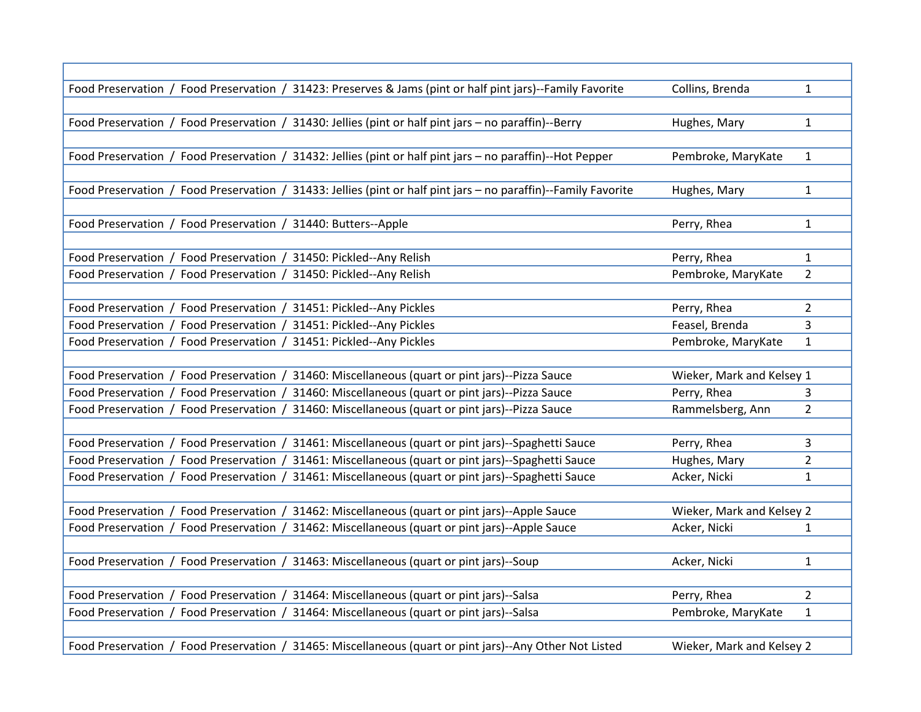| Food Preservation / Food Preservation / 31423: Preserves & Jams (pint or half pint jars)--Family Favorite      | Collins, Brenda           | $\mathbf{1}$   |
|----------------------------------------------------------------------------------------------------------------|---------------------------|----------------|
|                                                                                                                |                           |                |
| Food Preservation / Food Preservation / 31430: Jellies (pint or half pint jars - no paraffin)--Berry           | Hughes, Mary              | $\mathbf{1}$   |
|                                                                                                                |                           |                |
| Food Preservation / Food Preservation / 31432: Jellies (pint or half pint jars - no paraffin)--Hot Pepper      | Pembroke, MaryKate        | $\mathbf{1}$   |
|                                                                                                                |                           |                |
| Food Preservation / Food Preservation / 31433: Jellies (pint or half pint jars - no paraffin)--Family Favorite | Hughes, Mary              | $\mathbf{1}$   |
|                                                                                                                |                           |                |
| Food Preservation / Food Preservation<br>31440: Butters--Apple                                                 | Perry, Rhea               | $\mathbf{1}$   |
|                                                                                                                |                           |                |
| Food Preservation / Food Preservation /<br>31450: Pickled--Any Relish                                          | Perry, Rhea               | $\mathbf{1}$   |
| Food Preservation / Food Preservation /<br>31450: Pickled--Any Relish                                          | Pembroke, MaryKate        | $\overline{2}$ |
|                                                                                                                |                           |                |
| Food Preservation /<br>Food Preservation /<br>31451: Pickled--Any Pickles                                      | Perry, Rhea               | $\overline{2}$ |
| Food Preservation /<br>31451: Pickled--Any Pickles<br>Food Preservation /                                      | Feasel, Brenda            | 3              |
| Food Preservation / Food Preservation /<br>31451: Pickled--Any Pickles                                         | Pembroke, MaryKate        | $\mathbf{1}$   |
|                                                                                                                |                           |                |
| Food Preservation / Food Preservation /<br>31460: Miscellaneous (quart or pint jars)--Pizza Sauce              | Wieker, Mark and Kelsey 1 |                |
| 31460: Miscellaneous (quart or pint jars)--Pizza Sauce<br>Food Preservation /<br>Food Preservation /           | Perry, Rhea               | 3              |
| Food Preservation / Food Preservation /<br>31460: Miscellaneous (quart or pint jars)--Pizza Sauce              | Rammelsberg, Ann          | $\overline{2}$ |
|                                                                                                                |                           |                |
| 31461: Miscellaneous (quart or pint jars)--Spaghetti Sauce<br>Food Preservation /<br><b>Food Preservation</b>  | Perry, Rhea               | 3              |
| 31461: Miscellaneous (quart or pint jars)--Spaghetti Sauce<br>Food Preservation /<br>Food Preservation /       | Hughes, Mary              | $\overline{2}$ |
| 31461: Miscellaneous (quart or pint jars)--Spaghetti Sauce<br>Food Preservation / Food Preservation            | Acker, Nicki              | $\mathbf{1}$   |
|                                                                                                                |                           |                |
| Food Preservation /<br>31462: Miscellaneous (quart or pint jars)--Apple Sauce<br>Food Preservation /           | Wieker, Mark and Kelsey 2 |                |
| 31462: Miscellaneous (quart or pint jars)--Apple Sauce<br>Food Preservation / Food Preservation /              | Acker, Nicki              | 1              |
|                                                                                                                |                           |                |
| Food Preservation / Food Preservation / 31463: Miscellaneous (quart or pint jars)--Soup                        | Acker, Nicki              | $\mathbf{1}$   |
|                                                                                                                |                           |                |
| 31464: Miscellaneous (quart or pint jars)--Salsa<br>Food Preservation /<br>Food Preservation /                 | Perry, Rhea               | $\overline{2}$ |
| 31464: Miscellaneous (quart or pint jars)--Salsa<br>Food Preservation / Food Preservation /                    | Pembroke, MaryKate        | $\mathbf{1}$   |
|                                                                                                                |                           |                |
| Food Preservation / Food Preservation / 31465: Miscellaneous (quart or pint jars)--Any Other Not Listed        | Wieker, Mark and Kelsey 2 |                |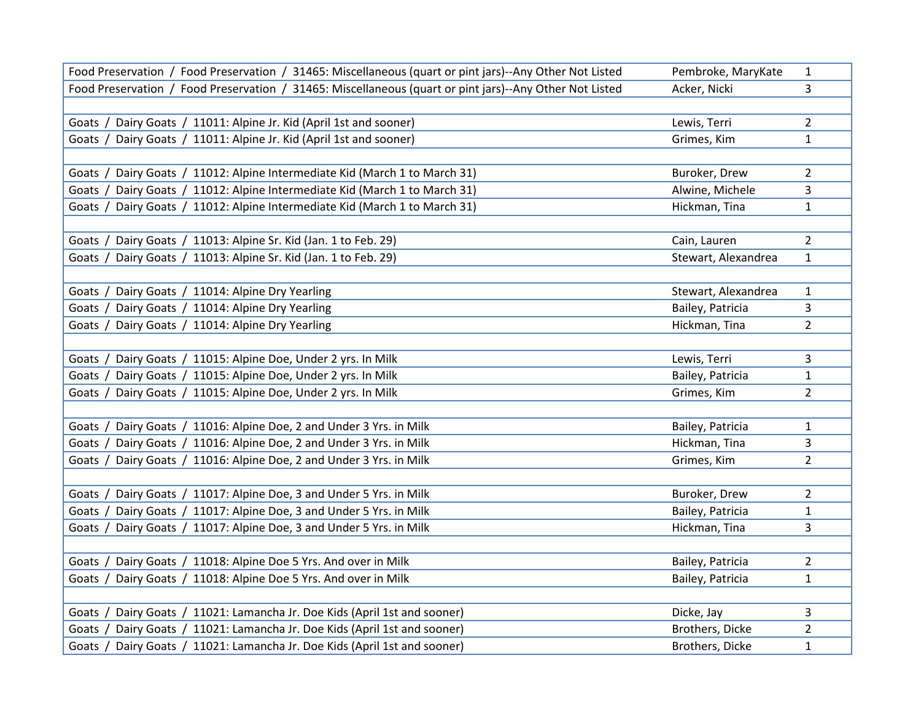| Food Preservation / Food Preservation / 31465: Miscellaneous (quart or pint jars)--Any Other Not Listed | Pembroke, MaryKate  | $\mathbf{1}$   |
|---------------------------------------------------------------------------------------------------------|---------------------|----------------|
| Food Preservation / Food Preservation / 31465: Miscellaneous (quart or pint jars)--Any Other Not Listed | Acker, Nicki        | 3              |
|                                                                                                         |                     |                |
| Dairy Goats / 11011: Alpine Jr. Kid (April 1st and sooner)<br>Goats /                                   | Lewis, Terri        | $\overline{2}$ |
| Dairy Goats / 11011: Alpine Jr. Kid (April 1st and sooner)<br>Goats $/$                                 | Grimes, Kim         | $\mathbf{1}$   |
|                                                                                                         |                     |                |
| Dairy Goats / 11012: Alpine Intermediate Kid (March 1 to March 31)<br>Goats $/$                         | Buroker, Drew       | $\overline{2}$ |
| Dairy Goats / 11012: Alpine Intermediate Kid (March 1 to March 31)<br>Goats $/$                         | Alwine, Michele     | 3              |
| Dairy Goats / 11012: Alpine Intermediate Kid (March 1 to March 31)<br>Goats /                           | Hickman, Tina       | $\mathbf 1$    |
|                                                                                                         |                     |                |
| Dairy Goats / 11013: Alpine Sr. Kid (Jan. 1 to Feb. 29)<br>Goats $\overline{a}$                         | Cain, Lauren        | $\overline{2}$ |
| Dairy Goats / 11013: Alpine Sr. Kid (Jan. 1 to Feb. 29)<br>Goats $/$                                    | Stewart, Alexandrea | $\mathbf{1}$   |
|                                                                                                         |                     |                |
| Dairy Goats / 11014: Alpine Dry Yearling<br>Goats $/$                                                   | Stewart, Alexandrea | $\mathbf 1$    |
| Dairy Goats / 11014: Alpine Dry Yearling<br>Goats /                                                     | Bailey, Patricia    | 3              |
| Goats /<br>Dairy Goats / 11014: Alpine Dry Yearling                                                     | Hickman, Tina       | $\overline{2}$ |
|                                                                                                         |                     |                |
| Goats $/$<br>Dairy Goats / 11015: Alpine Doe, Under 2 yrs. In Milk                                      | Lewis, Terri        | 3              |
| Dairy Goats / 11015: Alpine Doe, Under 2 yrs. In Milk<br>Goats $\overline{a}$                           | Bailey, Patricia    | $\mathbf{1}$   |
| Goats<br>Dairy Goats / 11015: Alpine Doe, Under 2 yrs. In Milk                                          | Grimes, Kim         | $\overline{2}$ |
|                                                                                                         |                     |                |
| Dairy Goats / 11016: Alpine Doe, 2 and Under 3 Yrs. in Milk<br>Goats $\overline{a}$                     | Bailey, Patricia    | $\mathbf{1}$   |
| Dairy Goats / 11016: Alpine Doe, 2 and Under 3 Yrs. in Milk<br>Goats /                                  | Hickman, Tina       | 3              |
| Dairy Goats / 11016: Alpine Doe, 2 and Under 3 Yrs. in Milk<br>Goats /                                  | Grimes, Kim         | $\overline{2}$ |
|                                                                                                         |                     |                |
| Dairy Goats / 11017: Alpine Doe, 3 and Under 5 Yrs. in Milk<br>Goats $\overline{a}$                     | Buroker, Drew       | $\overline{2}$ |
| Dairy Goats / 11017: Alpine Doe, 3 and Under 5 Yrs. in Milk<br>Goats $\overline{a}$                     | Bailey, Patricia    | $\mathbf{1}$   |
| Dairy Goats / 11017: Alpine Doe, 3 and Under 5 Yrs. in Milk<br>Goats /                                  | Hickman, Tina       | 3              |
|                                                                                                         |                     |                |
| Dairy Goats / 11018: Alpine Doe 5 Yrs. And over in Milk<br>Goats $/$                                    | Bailey, Patricia    | $\overline{2}$ |
| Dairy Goats / 11018: Alpine Doe 5 Yrs. And over in Milk<br>Goats /                                      | Bailey, Patricia    | $\mathbf{1}$   |
|                                                                                                         |                     |                |
| Dairy Goats / 11021: Lamancha Jr. Doe Kids (April 1st and sooner)<br>Goats $/$                          | Dicke, Jay          | 3              |
| Dairy Goats / 11021: Lamancha Jr. Doe Kids (April 1st and sooner)<br>Goats $\overline{a}$               | Brothers, Dicke     | $\overline{2}$ |
| Dairy Goats / 11021: Lamancha Jr. Doe Kids (April 1st and sooner)<br>Goats /                            | Brothers, Dicke     | $\mathbf{1}$   |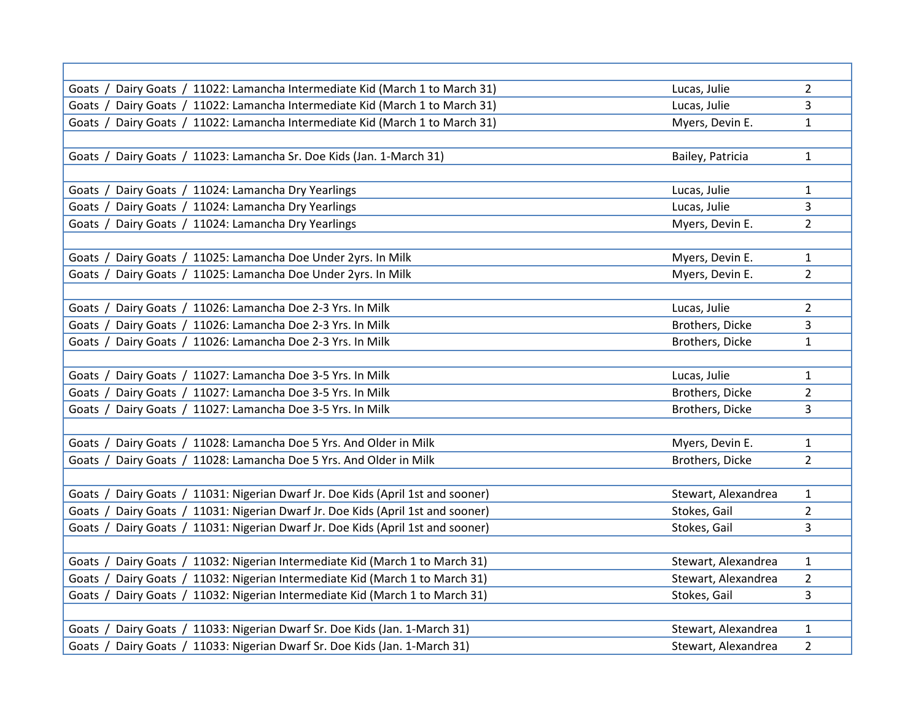| Dairy Goats / 11022: Lamancha Intermediate Kid (March 1 to March 31)<br>Goats      | Lucas, Julie        | $\overline{2}$ |
|------------------------------------------------------------------------------------|---------------------|----------------|
| Dairy Goats / 11022: Lamancha Intermediate Kid (March 1 to March 31)<br>Goats      | Lucas, Julie        | 3              |
| Dairy Goats / 11022: Lamancha Intermediate Kid (March 1 to March 31)<br>Goats,     | Myers, Devin E.     | $\mathbf{1}$   |
|                                                                                    |                     |                |
| Dairy Goats / 11023: Lamancha Sr. Doe Kids (Jan. 1-March 31)<br>Goats $/$          | Bailey, Patricia    | $\mathbf{1}$   |
|                                                                                    |                     |                |
| Dairy Goats / 11024: Lamancha Dry Yearlings<br>Goats $/$                           | Lucas, Julie        | $\mathbf{1}$   |
| Dairy Goats / 11024: Lamancha Dry Yearlings<br>Goats                               | Lucas, Julie        | 3              |
| Dairy Goats / 11024: Lamancha Dry Yearlings<br>Goats                               | Myers, Devin E.     | $\overline{2}$ |
|                                                                                    |                     |                |
| Dairy Goats / 11025: Lamancha Doe Under 2yrs. In Milk<br>Goats,                    | Myers, Devin E.     | $\mathbf{1}$   |
| Dairy Goats / 11025: Lamancha Doe Under 2yrs. In Milk<br>Goats                     | Myers, Devin E.     | $\overline{2}$ |
|                                                                                    |                     |                |
| Dairy Goats / 11026: Lamancha Doe 2-3 Yrs. In Milk<br>Goats $/$                    | Lucas, Julie        | $\overline{2}$ |
| Dairy Goats / 11026: Lamancha Doe 2-3 Yrs. In Milk<br>Goats /                      | Brothers, Dicke     | 3              |
| Dairy Goats / 11026: Lamancha Doe 2-3 Yrs. In Milk<br>Goats /                      | Brothers, Dicke     | $\mathbf 1$    |
|                                                                                    |                     |                |
| Goats<br>Dairy Goats / 11027: Lamancha Doe 3-5 Yrs. In Milk                        | Lucas, Julie        | $\mathbf{1}$   |
| 11027: Lamancha Doe 3-5 Yrs. In Milk<br>Goats<br>Dairy Goats                       | Brothers, Dicke     | $\overline{2}$ |
| Dairy Goats /<br>11027: Lamancha Doe 3-5 Yrs. In Milk<br>Goats                     | Brothers, Dicke     | 3              |
|                                                                                    |                     |                |
| Dairy Goats / 11028: Lamancha Doe 5 Yrs. And Older in Milk<br>Goats,               | Myers, Devin E.     | $\mathbf 1$    |
| Dairy Goats / 11028: Lamancha Doe 5 Yrs. And Older in Milk<br>Goats /              | Brothers, Dicke     | $\overline{2}$ |
|                                                                                    |                     |                |
| Dairy Goats / 11031: Nigerian Dwarf Jr. Doe Kids (April 1st and sooner)<br>Goats   | Stewart, Alexandrea | $\mathbf{1}$   |
| Dairy Goats / 11031: Nigerian Dwarf Jr. Doe Kids (April 1st and sooner)<br>Goats   | Stokes, Gail        | $\overline{2}$ |
| Dairy Goats / 11031: Nigerian Dwarf Jr. Doe Kids (April 1st and sooner)<br>Goats / | Stokes, Gail        | 3              |
|                                                                                    |                     |                |
| Dairy Goats / 11032: Nigerian Intermediate Kid (March 1 to March 31)<br>Goats $/$  | Stewart, Alexandrea | $\mathbf{1}$   |
| Dairy Goats / 11032: Nigerian Intermediate Kid (March 1 to March 31)<br>Goats /    | Stewart, Alexandrea | $\overline{2}$ |
| Dairy Goats / 11032: Nigerian Intermediate Kid (March 1 to March 31)<br>Goats $/$  | Stokes, Gail        | 3              |
|                                                                                    |                     |                |
| Dairy Goats / 11033: Nigerian Dwarf Sr. Doe Kids (Jan. 1-March 31)<br>Goats        | Stewart, Alexandrea | $\mathbf 1$    |
| Dairy Goats / 11033: Nigerian Dwarf Sr. Doe Kids (Jan. 1-March 31)<br>Goats,       | Stewart, Alexandrea | $\overline{2}$ |
|                                                                                    |                     |                |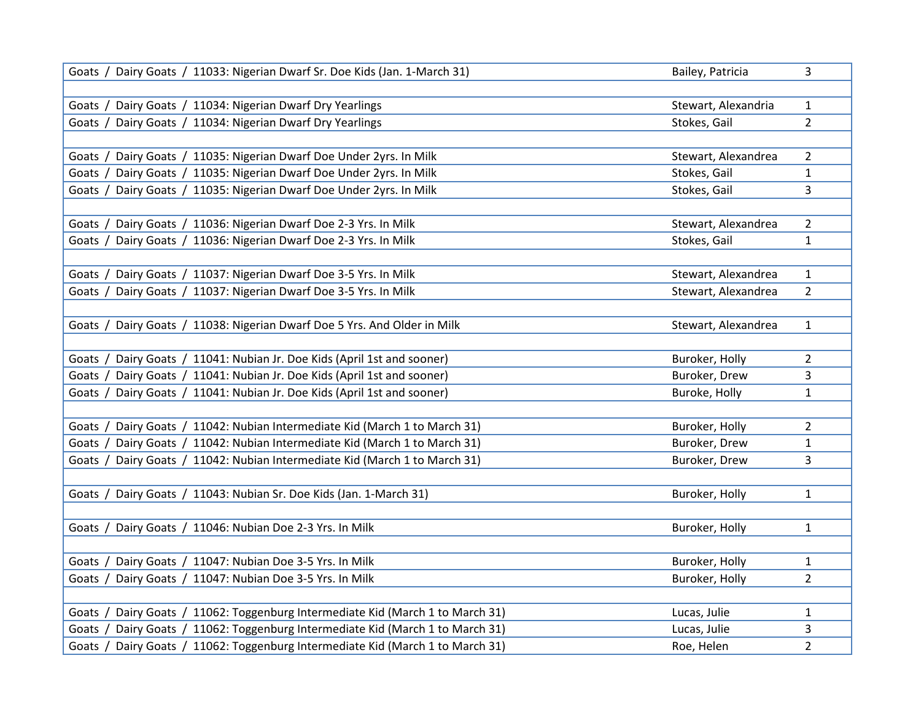| Goats $/$<br>Dairy Goats / 11033: Nigerian Dwarf Sr. Doe Kids (Jan. 1-March 31)            | Bailey, Patricia    | 3                 |
|--------------------------------------------------------------------------------------------|---------------------|-------------------|
|                                                                                            |                     |                   |
| Dairy Goats / 11034: Nigerian Dwarf Dry Yearlings<br>Goats,                                | Stewart, Alexandria | $\mathbf{1}$      |
| Dairy Goats / 11034: Nigerian Dwarf Dry Yearlings<br>Goats                                 | Stokes, Gail        | $\overline{2}$    |
|                                                                                            |                     |                   |
| Dairy Goats / 11035: Nigerian Dwarf Doe Under 2yrs. In Milk<br>Goats,                      | Stewart, Alexandrea | $\overline{2}$    |
| Dairy Goats / 11035: Nigerian Dwarf Doe Under 2yrs. In Milk<br>Goats                       | Stokes, Gail        | $\mathbf{1}$      |
| Dairy Goats / 11035: Nigerian Dwarf Doe Under 2yrs. In Milk<br>Goats                       | Stokes, Gail        | 3                 |
|                                                                                            |                     |                   |
| Dairy Goats / 11036: Nigerian Dwarf Doe 2-3 Yrs. In Milk<br>Goats /                        | Stewart, Alexandrea | $\overline{2}$    |
| Dairy Goats / 11036: Nigerian Dwarf Doe 2-3 Yrs. In Milk<br>Goats $\overline{a}$           | Stokes, Gail        | $\mathbf{1}$      |
|                                                                                            |                     |                   |
| Dairy Goats / 11037: Nigerian Dwarf Doe 3-5 Yrs. In Milk<br>Goats                          | Stewart, Alexandrea | $\mathbf{1}$      |
| Dairy Goats / 11037: Nigerian Dwarf Doe 3-5 Yrs. In Milk<br>Goats /                        | Stewart, Alexandrea | $\overline{2}$    |
|                                                                                            |                     |                   |
| Dairy Goats / 11038: Nigerian Dwarf Doe 5 Yrs. And Older in Milk<br>Goats /                | Stewart, Alexandrea | $\mathbf{1}$      |
|                                                                                            |                     |                   |
| Dairy Goats / 11041: Nubian Jr. Doe Kids (April 1st and sooner)<br>Goats                   | Buroker, Holly      | $\overline{2}$    |
| Dairy Goats / 11041: Nubian Jr. Doe Kids (April 1st and sooner)<br>Goats                   | Buroker, Drew       | 3                 |
| Goats<br>Dairy Goats / 11041: Nubian Jr. Doe Kids (April 1st and sooner)                   | Buroke, Holly       | $\mathbf{1}$      |
|                                                                                            |                     |                   |
| Dairy Goats / 11042: Nubian Intermediate Kid (March 1 to March 31)<br>Goats,               | Buroker, Holly      | $\overline{2}$    |
| Dairy Goats / 11042: Nubian Intermediate Kid (March 1 to March 31)<br>Goats                | Buroker, Drew       | $\mathbf{1}$      |
| Dairy Goats / 11042: Nubian Intermediate Kid (March 1 to March 31)<br>Goats /              | Buroker, Drew       | 3                 |
|                                                                                            |                     |                   |
| Dairy Goats / 11043: Nubian Sr. Doe Kids (Jan. 1-March 31)<br>Goats /                      | Buroker, Holly      | $\mathbf{1}$      |
|                                                                                            |                     | $\mathbf{1}$      |
| Goats /<br>Dairy Goats / 11046: Nubian Doe 2-3 Yrs. In Milk                                | Buroker, Holly      |                   |
| Dairy Goats / 11047: Nubian Doe 3-5 Yrs. In Milk                                           |                     |                   |
| Goats                                                                                      | Buroker, Holly      | $\mathbf{1}$      |
| Dairy Goats / 11047: Nubian Doe 3-5 Yrs. In Milk<br>Goats /                                | Buroker, Holly      | $\overline{2}$    |
| Dairy Goats / 11062: Toggenburg Intermediate Kid (March 1 to March 31)                     | Lucas, Julie        |                   |
| Goats /<br>Dairy Goats / 11062: Toggenburg Intermediate Kid (March 1 to March 31)          | Lucas, Julie        | $\mathbf{1}$<br>3 |
| Goats<br>Dairy Goats / 11062: Toggenburg Intermediate Kid (March 1 to March 31)<br>Goats / | Roe, Helen          | $\overline{2}$    |
|                                                                                            |                     |                   |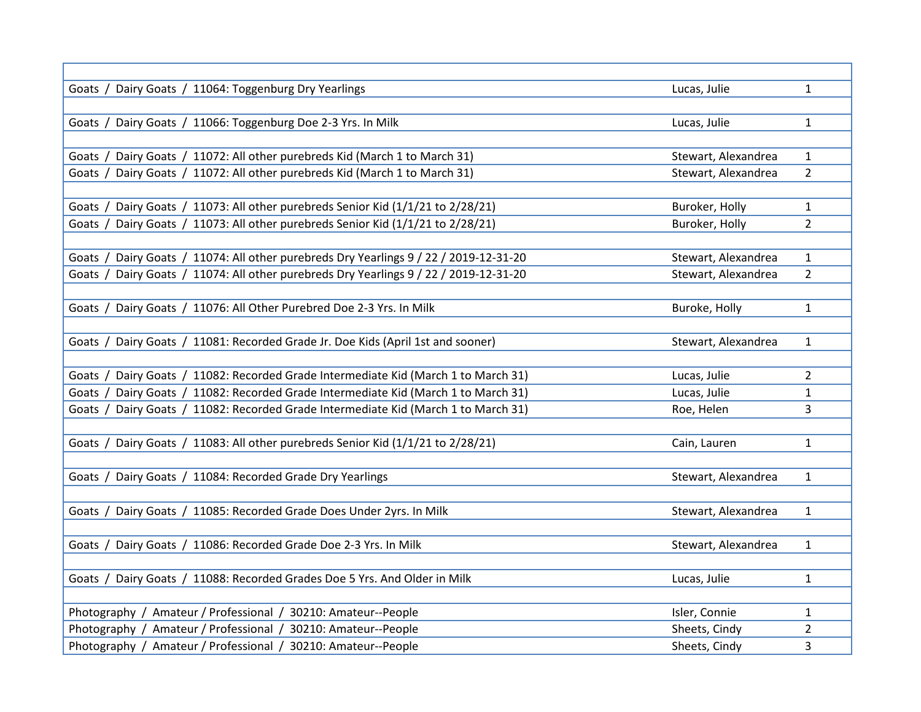| Dairy Goats / 11064: Toggenburg Dry Yearlings<br>Goats /                                              | Lucas, Julie        | $\mathbf{1}$   |
|-------------------------------------------------------------------------------------------------------|---------------------|----------------|
|                                                                                                       |                     |                |
| Dairy Goats / 11066: Toggenburg Doe 2-3 Yrs. In Milk<br>Goats /                                       | Lucas, Julie        | $\mathbf{1}$   |
|                                                                                                       |                     |                |
| Dairy Goats / 11072: All other purebreds Kid (March 1 to March 31)<br>Goats /                         | Stewart, Alexandrea | $\mathbf{1}$   |
| Dairy Goats / 11072: All other purebreds Kid (March 1 to March 31)<br>Goats                           | Stewart, Alexandrea | $\overline{2}$ |
|                                                                                                       |                     |                |
| Dairy Goats / 11073: All other purebreds Senior Kid (1/1/21 to 2/28/21)<br>Goats $/$                  | Buroker, Holly      | $\mathbf{1}$   |
| Dairy Goats / 11073: All other purebreds Senior Kid (1/1/21 to 2/28/21)<br>Goats /                    | Buroker, Holly      | $\overline{2}$ |
|                                                                                                       |                     |                |
| Dairy Goats / 11074: All other purebreds Dry Yearlings 9 / 22 / 2019-12-31-20<br>Goats $\overline{a}$ | Stewart, Alexandrea | $\mathbf{1}$   |
| Dairy Goats / 11074: All other purebreds Dry Yearlings 9 / 22 / 2019-12-31-20<br>Goats                | Stewart, Alexandrea | $\overline{2}$ |
|                                                                                                       |                     |                |
| Dairy Goats / 11076: All Other Purebred Doe 2-3 Yrs. In Milk<br>Goats $/$                             | Buroke, Holly       | $\mathbf{1}$   |
|                                                                                                       |                     |                |
| Dairy Goats / 11081: Recorded Grade Jr. Doe Kids (April 1st and sooner)<br>Goats /                    | Stewart, Alexandrea | $\mathbf{1}$   |
|                                                                                                       |                     |                |
| Dairy Goats / 11082: Recorded Grade Intermediate Kid (March 1 to March 31)<br>Goats,                  | Lucas, Julie        | $\overline{2}$ |
| Dairy Goats / 11082: Recorded Grade Intermediate Kid (March 1 to March 31)<br>Goats                   | Lucas, Julie        | $\mathbf{1}$   |
| Dairy Goats / 11082: Recorded Grade Intermediate Kid (March 1 to March 31)<br>Goats                   | Roe, Helen          | 3              |
|                                                                                                       |                     |                |
| Dairy Goats / 11083: All other purebreds Senior Kid (1/1/21 to 2/28/21)<br>Goats /                    | Cain, Lauren        | $\mathbf{1}$   |
|                                                                                                       |                     |                |
| Goats / Dairy Goats / 11084: Recorded Grade Dry Yearlings                                             | Stewart, Alexandrea | $\mathbf{1}$   |
|                                                                                                       |                     |                |
| Dairy Goats / 11085: Recorded Grade Does Under 2yrs. In Milk<br>Goats /                               | Stewart, Alexandrea | $\mathbf{1}$   |
|                                                                                                       |                     |                |
| Dairy Goats / 11086: Recorded Grade Doe 2-3 Yrs. In Milk<br>Goats /                                   | Stewart, Alexandrea | $\mathbf{1}$   |
|                                                                                                       |                     |                |
| Dairy Goats / 11088: Recorded Grades Doe 5 Yrs. And Older in Milk<br>Goats /                          | Lucas, Julie        | $\mathbf{1}$   |
|                                                                                                       |                     |                |
| Photography / Amateur / Professional / 30210: Amateur--People                                         | Isler, Connie       | $\mathbf{1}$   |
| Photography / Amateur / Professional / 30210: Amateur--People                                         | Sheets, Cindy       | 2              |
| Photography / Amateur / Professional / 30210: Amateur--People                                         | Sheets, Cindy       | 3              |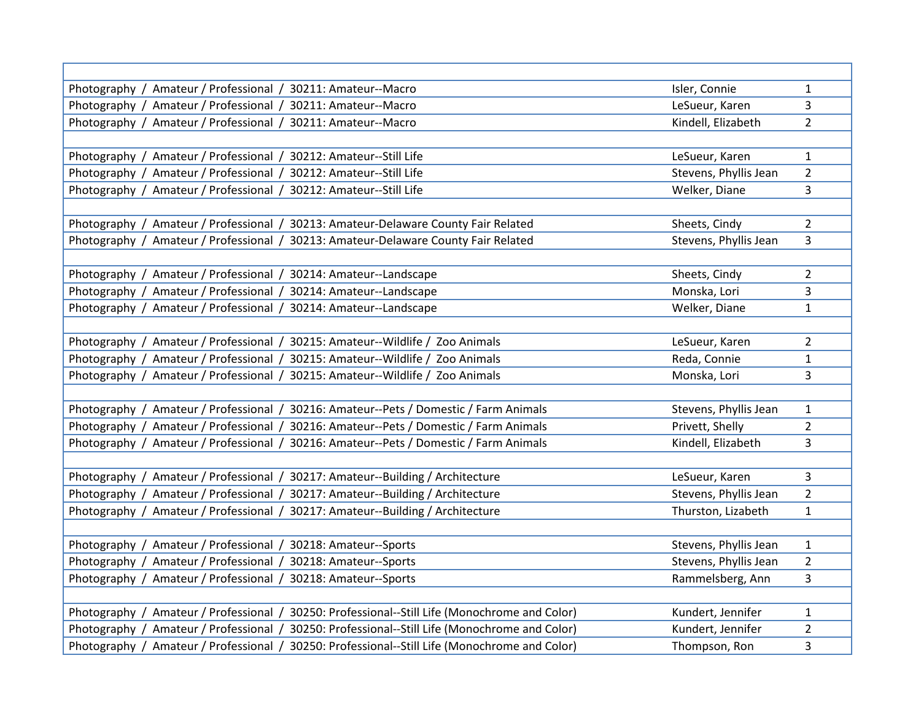| Photography / Amateur / Professional /<br>30211: Amateur--Macro                                  | Isler, Connie         | $\mathbf 1$    |
|--------------------------------------------------------------------------------------------------|-----------------------|----------------|
| Photography / Amateur / Professional<br>30211: Amateur--Macro                                    | LeSueur, Karen        | 3              |
| Photography / Amateur / Professional /<br>30211: Amateur--Macro                                  | Kindell, Elizabeth    | $\overline{2}$ |
|                                                                                                  |                       |                |
| Photography / Amateur / Professional /<br>30212: Amateur--Still Life                             | LeSueur, Karen        | $\mathbf{1}$   |
| Photography / Amateur / Professional /<br>30212: Amateur--Still Life                             | Stevens, Phyllis Jean | $\overline{2}$ |
| Photography / Amateur / Professional /<br>30212: Amateur--Still Life                             | Welker, Diane         | 3              |
|                                                                                                  |                       |                |
| Photography / Amateur / Professional /<br>30213: Amateur-Delaware County Fair Related            | Sheets, Cindy         | $\overline{2}$ |
| Photography / Amateur / Professional /<br>30213: Amateur-Delaware County Fair Related            | Stevens, Phyllis Jean | 3              |
|                                                                                                  |                       |                |
| Photography / Amateur / Professional /<br>30214: Amateur--Landscape                              | Sheets, Cindy         | $\overline{2}$ |
| Photography / Amateur / Professional /<br>30214: Amateur--Landscape                              | Monska, Lori          | 3              |
| Photography / Amateur / Professional /<br>30214: Amateur--Landscape                              | Welker, Diane         | $\mathbf{1}$   |
|                                                                                                  |                       |                |
| 30215: Amateur--Wildlife / Zoo Animals<br>Photography / Amateur / Professional /                 | LeSueur, Karen        | $\overline{2}$ |
| Photography / Amateur / Professional /<br>30215: Amateur--Wildlife / Zoo Animals                 | Reda, Connie          | $\mathbf{1}$   |
| Photography / Amateur / Professional<br>30215: Amateur--Wildlife / Zoo Animals                   | Monska, Lori          | 3              |
|                                                                                                  |                       |                |
| Photography / Amateur / Professional /<br>30216: Amateur--Pets / Domestic / Farm Animals         | Stevens, Phyllis Jean | $\mathbf{1}$   |
| Photography / Amateur / Professional /<br>30216: Amateur--Pets / Domestic / Farm Animals         | Privett, Shelly       | $\overline{2}$ |
| Photography / Amateur / Professional /<br>30216: Amateur--Pets / Domestic / Farm Animals         | Kindell, Elizabeth    | 3              |
|                                                                                                  |                       |                |
| Photography / Amateur / Professional /<br>30217: Amateur--Building / Architecture                | LeSueur, Karen        | 3              |
| 30217: Amateur--Building / Architecture<br>Photography / Amateur / Professional /                | Stevens, Phyllis Jean | $\overline{2}$ |
| 30217: Amateur--Building / Architecture<br>Photography / Amateur / Professional /                | Thurston, Lizabeth    | $\mathbf{1}$   |
|                                                                                                  |                       |                |
| Photography / Amateur / Professional /<br>30218: Amateur--Sports                                 | Stevens, Phyllis Jean | $\mathbf{1}$   |
| Photography / Amateur / Professional<br>30218: Amateur--Sports                                   | Stevens, Phyllis Jean | $\overline{2}$ |
| Photography / Amateur / Professional /<br>30218: Amateur--Sports                                 | Rammelsberg, Ann      | 3              |
|                                                                                                  |                       |                |
| Photography / Amateur / Professional /<br>30250: Professional--Still Life (Monochrome and Color) | Kundert, Jennifer     | $\mathbf{1}$   |
| Photography / Amateur / Professional<br>30250: Professional--Still Life (Monochrome and Color)   | Kundert, Jennifer     | $\overline{2}$ |
| 30250: Professional--Still Life (Monochrome and Color)<br>Photography / Amateur / Professional / | Thompson, Ron         | 3              |